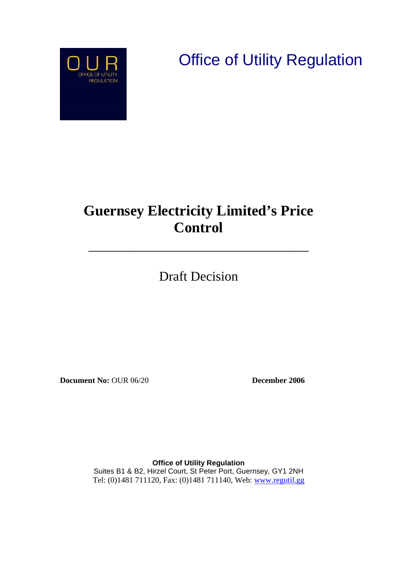**Office of Utility Regulation** 



# **Guernsey Electricity Limited's Price Control**

\_\_\_\_\_\_\_\_\_\_\_\_\_\_\_\_\_\_\_\_\_\_\_\_\_\_\_\_\_\_\_\_\_

Draft Decision

**Document No:** OUR 06/20 **December 2006**

**Office of Utility Regulation**  Suites B1 & B2, Hirzel Court, St Peter Port, Guernsey, GY1 2NH Tel: (0)1481 711120, Fax: (0)1481 711140, Web: [www.regutil.gg](http://www.regutil.gg/)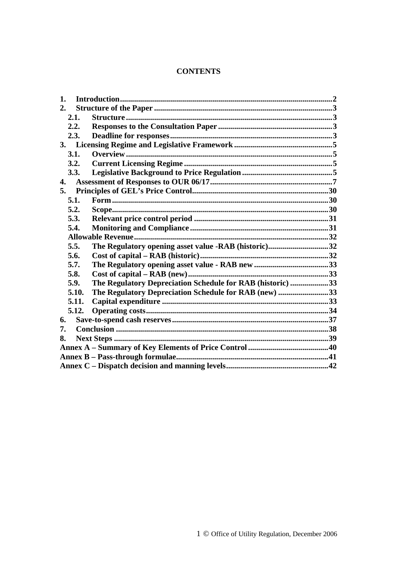### **CONTENTS**

| 1.    |                                                            |  |
|-------|------------------------------------------------------------|--|
| 2.    |                                                            |  |
| 2.1.  |                                                            |  |
| 2.2.  |                                                            |  |
| 2.3.  |                                                            |  |
| 3.    |                                                            |  |
| 3.1.  |                                                            |  |
| 3.2.  |                                                            |  |
| 3.3.  |                                                            |  |
| 4.    |                                                            |  |
| 5.    |                                                            |  |
| 5.1.  |                                                            |  |
| 5.2.  |                                                            |  |
| 5.3.  |                                                            |  |
| 5.4.  |                                                            |  |
|       |                                                            |  |
| 5.5.  | The Regulatory opening asset value -RAB (historic)32       |  |
| 5.6.  |                                                            |  |
| 5.7.  |                                                            |  |
| 5.8.  |                                                            |  |
| 5.9.  | The Regulatory Depreciation Schedule for RAB (historic) 33 |  |
| 5.10. | The Regulatory Depreciation Schedule for RAB (new) 33      |  |
| 5.11. |                                                            |  |
| 5.12. |                                                            |  |
| 6.    |                                                            |  |
| 7.    |                                                            |  |
| 8.    |                                                            |  |
|       |                                                            |  |
|       |                                                            |  |
|       |                                                            |  |
|       |                                                            |  |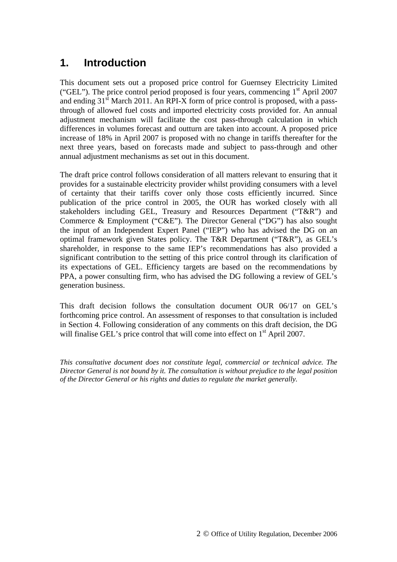## <span id="page-2-0"></span>**1. Introduction**

This document sets out a proposed price control for Guernsey Electricity Limited ("GEL"). The price control period proposed is four years, commencing  $1<sup>st</sup>$  April 2007 and ending  $31<sup>st</sup>$  March 2011. An RPI-X form of price control is proposed, with a passthrough of allowed fuel costs and imported electricity costs provided for. An annual adjustment mechanism will facilitate the cost pass-through calculation in which differences in volumes forecast and outturn are taken into account. A proposed price increase of 18% in April 2007 is proposed with no change in tariffs thereafter for the next three years, based on forecasts made and subject to pass-through and other annual adjustment mechanisms as set out in this document.

The draft price control follows consideration of all matters relevant to ensuring that it provides for a sustainable electricity provider whilst providing consumers with a level of certainty that their tariffs cover only those costs efficiently incurred. Since publication of the price control in 2005, the OUR has worked closely with all stakeholders including GEL, Treasury and Resources Department ("T&R") and Commerce & Employment ("C&E"). The Director General ("DG") has also sought the input of an Independent Expert Panel ("IEP") who has advised the DG on an optimal framework given States policy. The T&R Department ("T&R"), as GEL's shareholder, in response to the same IEP's recommendations has also provided a significant contribution to the setting of this price control through its clarification of its expectations of GEL. Efficiency targets are based on the recommendations by PPA, a power consulting firm, who has advised the DG following a review of GEL's generation business.

This draft decision follows the consultation document OUR 06/17 on GEL's forthcoming price control. An assessment of responses to that consultation is included in Section 4. Following consideration of any comments on this draft decision, the DG will finalise GEL's price control that will come into effect on 1<sup>st</sup> April 2007.

*This consultative document does not constitute legal, commercial or technical advice. The Director General is not bound by it. The consultation is without prejudice to the legal position of the Director General or his rights and duties to regulate the market generally.*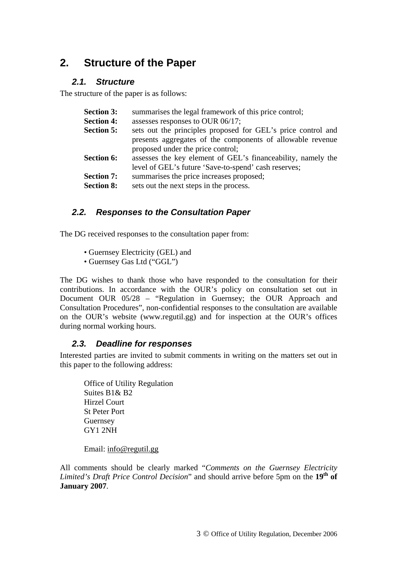## <span id="page-3-0"></span>**2. Structure of the Paper**

#### *2.1. Structure*

The structure of the paper is as follows:

| summarises the legal framework of this price control;        |
|--------------------------------------------------------------|
| assesses responses to OUR 06/17;                             |
| sets out the principles proposed for GEL's price control and |
| presents aggregates of the components of allowable revenue   |
| proposed under the price control;                            |
| assesses the key element of GEL's financeability, namely the |
| level of GEL's future 'Save-to-spend' cash reserves;         |
| summarises the price increases proposed;                     |
| sets out the next steps in the process.                      |
|                                                              |

### *2.2. Responses to the Consultation Paper*

The DG received responses to the consultation paper from:

- Guernsey Electricity (GEL) and
- Guernsey Gas Ltd ("GGL")

The DG wishes to thank those who have responded to the consultation for their contributions. In accordance with the OUR's policy on consultation set out in Document OUR 05/28 – "Regulation in Guernsey; the OUR Approach and Consultation Procedures", non-confidential responses to the consultation are available on the OUR's website (www.regutil.gg) and for inspection at the OUR's offices during normal working hours.

### *2.3. Deadline for responses*

Interested parties are invited to submit comments in writing on the matters set out in this paper to the following address:

Office of Utility Regulation Suites B1& B2 Hirzel Court St Peter Port Guernsey GY1 2NH

Email: info@regutil.gg

All comments should be clearly marked "*Comments on the Guernsey Electricity Limited's Draft Price Control Decision*" and should arrive before 5pm on the 19<sup>th</sup> of **January 2007**.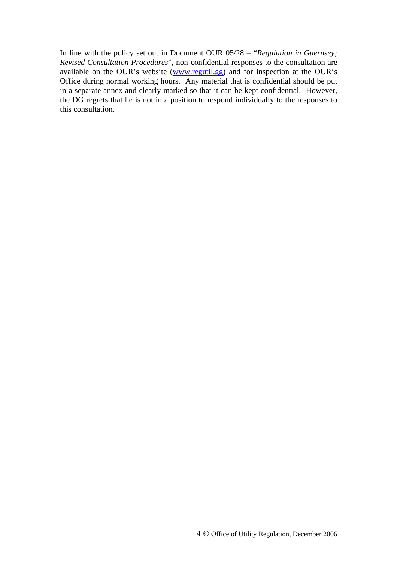In line with the policy set out in Document OUR 05/28 – "*Regulation in Guernsey; Revised Consultation Procedures*", non-confidential responses to the consultation are available on the OUR's website (www.regutil.gg) and for inspection at the OUR's Office during normal working hours. Any material that is confidential should be put in a separate annex and clearly marked so that it can be kept confidential. However, the DG regrets that he is not in a position to respond individually to the responses to this consultation.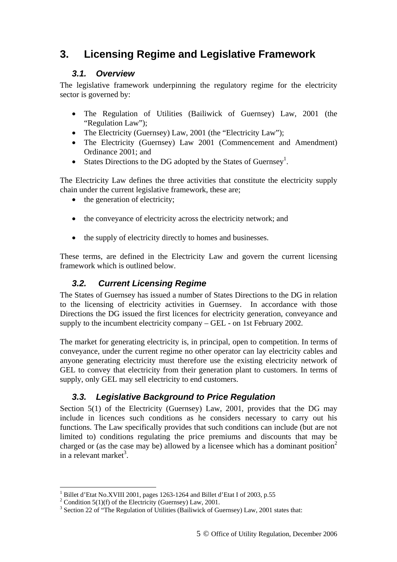## <span id="page-5-0"></span>**3. Licensing Regime and Legislative Framework**

## *3.1. Overview*

The legislative framework underpinning the regulatory regime for the electricity sector is governed by:

- The Regulation of Utilities (Bailiwick of Guernsey) Law, 2001 (the "Regulation Law");
- The Electricity (Guernsey) Law, 2001 (the "Electricity Law");
- The Electricity (Guernsey) Law 2001 (Commencement and Amendment) Ordinance 2001; and
- States Directions to the DG adopted by the States of Guernsey<sup>1</sup>.

The Electricity Law defines the three activities that constitute the electricity supply chain under the current legislative framework, these are;

- the generation of electricity;
- the conveyance of electricity across the electricity network; and
- the supply of electricity directly to homes and businesses.

These terms, are defined in the Electricity Law and govern the current licensing framework which is outlined below.

## *3.2. Current Licensing Regime*

The States of Guernsey has issued a number of States Directions to the DG in relation to the licensing of electricity activities in Guernsey. In accordance with those Directions the DG issued the first licences for electricity generation, conveyance and supply to the incumbent electricity company – GEL - on 1st February 2002.

The market for generating electricity is, in principal, open to competition. In terms of conveyance, under the current regime no other operator can lay electricity cables and anyone generating electricity must therefore use the existing electricity network of GEL to convey that electricity from their generation plant to customers. In terms of supply, only GEL may sell electricity to end customers.

## *3.3. Legislative Background to Price Regulation*

Section 5(1) of the Electricity (Guernsey) Law, 2001, provides that the DG may include in licences such conditions as he considers necessary to carry out his functions. The Law specifically provides that such conditions can include (but are not limited to) conditions regulating the price premiums and discounts that may be charged or (as the case may be) allowed by a licensee which has a dominant position<sup>[2](#page-5-2)</sup> in a relevant market<sup>[3](#page-5-3)</sup>.

 $\overline{a}$ <sup>1</sup> Billet d'Etat No.XVIII 2001, pages 1263-1264 and Billet d'Etat I of 2003, p.55<br><sup>2</sup> Condition 5(1)(f) of the Electricity (Guerneau) Law 2001

<span id="page-5-2"></span><span id="page-5-1"></span><sup>&</sup>lt;sup>2</sup> Condition 5(1)(f) of the Electricity (Guernsey) Law, 2001.

<span id="page-5-3"></span><sup>&</sup>lt;sup>3</sup> Section 22 of "The Regulation of Utilities (Bailiwick of Guernsey) Law, 2001 states that: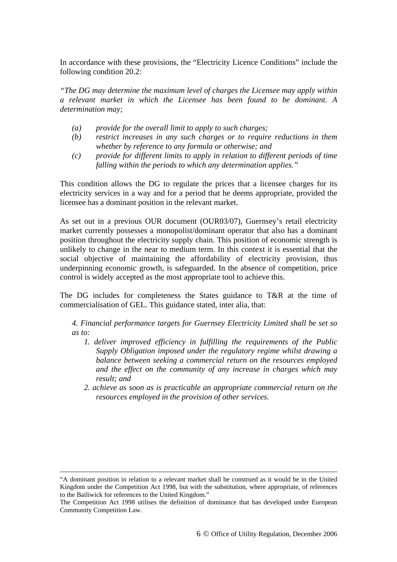In accordance with these provisions, the "Electricity Licence Conditions" include the following condition 20.2:

*"The DG may determine the maximum level of charges the Licensee may apply within a relevant market in which the Licensee has been found to be dominant. A determination may;* 

- *(a) provide for the overall limit to apply to such charges;*
- *(b) restrict increases in any such charges or to require reductions in them whether by reference to any formula or otherwise; and*
- *(c) provide for different limits to apply in relation to different periods of time falling within the periods to which any determination applies."*

This condition allows the DG to regulate the prices that a licensee charges for its electricity services in a way and for a period that he deems appropriate, provided the licensee has a dominant position in the relevant market.

As set out in a previous OUR document (OUR03/07), Guernsey's retail electricity market currently possesses a monopolist/dominant operator that also has a dominant position throughout the electricity supply chain. This position of economic strength is unlikely to change in the near to medium term. In this context it is essential that the social objective of maintaining the affordability of electricity provision, thus underpinning economic growth, is safeguarded. In the absence of competition, price control is widely accepted as the most appropriate tool to achieve this.

The DG includes for completeness the States guidance to T&R at the time of commercialisation of GEL. This guidance stated, inter alia, that:

*4. Financial performance targets for Guernsey Electricity Limited shall be set so as to:* 

- *1. deliver improved efficiency in fulfilling the requirements of the Public Supply Obligation imposed under the regulatory regime whilst drawing a balance between seeking a commercial return on the resources employed and the effect on the community of any increase in charges which may result; and*
- *2. achieve as soon as is practicable an appropriate commercial return on the resources employed in the provision of other services.*

 <sup>&</sup>quot;A dominant position in relation to a relevant market shall be construed as it would be in the United Kingdom under the Competition Act 1998, but with the substitution, where appropriate, of references to the Bailiwick for references to the United Kingdom."

The Competition Act 1998 utilises the definition of dominance that has developed under European Community Competition Law.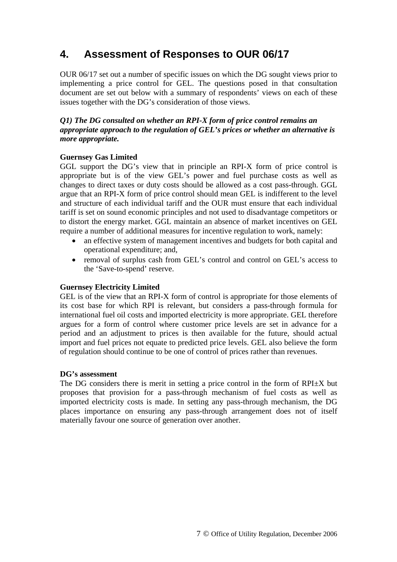## <span id="page-7-0"></span>**4. Assessment of Responses to OUR 06/17**

OUR 06/17 set out a number of specific issues on which the DG sought views prior to implementing a price control for GEL. The questions posed in that consultation document are set out below with a summary of respondents' views on each of these issues together with the DG's consideration of those views.

#### *Q1) The DG consulted on whether an RPI-X form of price control remains an appropriate approach to the regulation of GEL's prices or whether an alternative is more appropriate.*

#### **Guernsey Gas Limited**

GGL support the DG's view that in principle an RPI-X form of price control is appropriate but is of the view GEL's power and fuel purchase costs as well as changes to direct taxes or duty costs should be allowed as a cost pass-through. GGL argue that an RPI-X form of price control should mean GEL is indifferent to the level and structure of each individual tariff and the OUR must ensure that each individual tariff is set on sound economic principles and not used to disadvantage competitors or to distort the energy market. GGL maintain an absence of market incentives on GEL require a number of additional measures for incentive regulation to work, namely:

- an effective system of management incentives and budgets for both capital and operational expenditure; and,
- removal of surplus cash from GEL's control and control on GEL's access to the 'Save-to-spend' reserve.

#### **Guernsey Electricity Limited**

GEL is of the view that an RPI-X form of control is appropriate for those elements of its cost base for which RPI is relevant, but considers a pass-through formula for international fuel oil costs and imported electricity is more appropriate. GEL therefore argues for a form of control where customer price levels are set in advance for a period and an adjustment to prices is then available for the future, should actual import and fuel prices not equate to predicted price levels. GEL also believe the form of regulation should continue to be one of control of prices rather than revenues.

#### **DG's assessment**

The DG considers there is merit in setting a price control in the form of  $RPI \pm X$  but proposes that provision for a pass-through mechanism of fuel costs as well as imported electricity costs is made. In setting any pass-through mechanism, the DG places importance on ensuring any pass-through arrangement does not of itself materially favour one source of generation over another.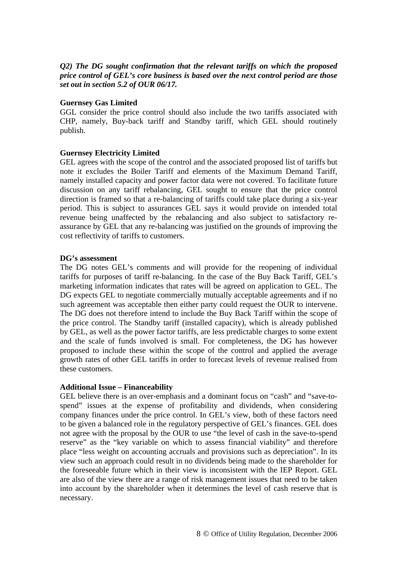#### *Q2) The DG sought confirmation that the relevant tariffs on which the proposed price control of GEL's core business is based over the next control period are those set out in section 5.2 of OUR 06/17.*

#### **Guernsey Gas Limited**

GGL consider the price control should also include the two tariffs associated with CHP, namely, Buy-back tariff and Standby tariff, which GEL should routinely publish.

#### **Guernsey Electricity Limited**

GEL agrees with the scope of the control and the associated proposed list of tariffs but note it excludes the Boiler Tariff and elements of the Maximum Demand Tariff, namely installed capacity and power factor data were not covered. To facilitate future discussion on any tariff rebalancing, GEL sought to ensure that the price control direction is framed so that a re-balancing of tariffs could take place during a six-year period. This is subject to assurances GEL says it would provide on intended total revenue being unaffected by the rebalancing and also subject to satisfactory reassurance by GEL that any re-balancing was justified on the grounds of improving the cost reflectivity of tariffs to customers.

#### **DG's assessment**

The DG notes GEL's comments and will provide for the reopening of individual tariffs for purposes of tariff re-balancing. In the case of the Buy Back Tariff, GEL's marketing information indicates that rates will be agreed on application to GEL. The DG expects GEL to negotiate commercially mutually acceptable agreements and if no such agreement was acceptable then either party could request the OUR to intervene. The DG does not therefore intend to include the Buy Back Tariff within the scope of the price control. The Standby tariff (installed capacity), which is already published by GEL, as well as the power factor tariffs, are less predictable charges to some extent and the scale of funds involved is small. For completeness, the DG has however proposed to include these within the scope of the control and applied the average growth rates of other GEL tariffs in order to forecast levels of revenue realised from these customers.

#### **Additional Issue – Financeability**

GEL believe there is an over-emphasis and a dominant focus on "cash" and "save-tospend" issues at the expense of profitability and dividends, when considering company finances under the price control. In GEL's view, both of these factors need to be given a balanced role in the regulatory perspective of GEL's finances. GEL does not agree with the proposal by the OUR to use "the level of cash in the save-to-spend reserve" as the "key variable on which to assess financial viability" and therefore place "less weight on accounting accruals and provisions such as depreciation". In its view such an approach could result in no dividends being made to the shareholder for the foreseeable future which in their view is inconsistent with the IEP Report. GEL are also of the view there are a range of risk management issues that need to be taken into account by the shareholder when it determines the level of cash reserve that is necessary.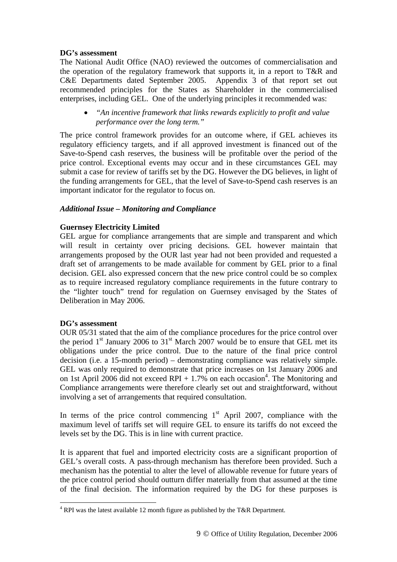#### **DG's assessment**

The National Audit Office (NAO) reviewed the outcomes of commercialisation and the operation of the regulatory framework that supports it, in a report to T&R and C&E Departments dated September 2005. Appendix 3 of that report set out recommended principles for the States as Shareholder in the commercialised enterprises, including GEL. One of the underlying principles it recommended was:

• *"An incentive framework that links rewards explicitly to profit and value performance over the long term."* 

The price control framework provides for an outcome where, if GEL achieves its regulatory efficiency targets, and if all approved investment is financed out of the Save-to-Spend cash reserves, the business will be profitable over the period of the price control. Exceptional events may occur and in these circumstances GEL may submit a case for review of tariffs set by the DG. However the DG believes, in light of the funding arrangements for GEL, that the level of Save-to-Spend cash reserves is an important indicator for the regulator to focus on.

#### *Additional Issue – Monitoring and Compliance*

#### **Guernsey Electricity Limited**

GEL argue for compliance arrangements that are simple and transparent and which will result in certainty over pricing decisions. GEL however maintain that arrangements proposed by the OUR last year had not been provided and requested a draft set of arrangements to be made available for comment by GEL prior to a final decision. GEL also expressed concern that the new price control could be so complex as to require increased regulatory compliance requirements in the future contrary to the "lighter touch" trend for regulation on Guernsey envisaged by the States of Deliberation in May 2006.

#### **DG's assessment**

 $\overline{a}$ 

OUR 05/31 stated that the aim of the compliance procedures for the price control over the period  $1<sup>st</sup>$  January 2006 to  $31<sup>st</sup>$  March 2007 would be to ensure that GEL met its obligations under the price control. Due to the nature of the final price control decision (i.e. a 15-month period) – demonstrating compliance was relatively simple. GEL was only required to demonstrate that price increases on 1st January 2006 and on 1st April 2006 did not exceed RPI + 1.7% on each occasion<sup>[4](#page-9-0)</sup>. The Monitoring and Compliance arrangements were therefore clearly set out and straightforward, without involving a set of arrangements that required consultation.

In terms of the price control commencing  $1<sup>st</sup>$  April 2007, compliance with the maximum level of tariffs set will require GEL to ensure its tariffs do not exceed the levels set by the DG. This is in line with current practice.

It is apparent that fuel and imported electricity costs are a significant proportion of GEL's overall costs. A pass-through mechanism has therefore been provided. Such a mechanism has the potential to alter the level of allowable revenue for future years of the price control period should outturn differ materially from that assumed at the time of the final decision. The information required by the DG for these purposes is

<span id="page-9-0"></span> $4$  RPI was the latest available 12 month figure as published by the T&R Department.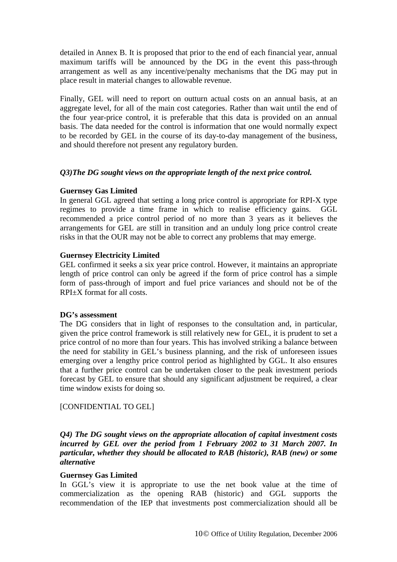detailed in Annex B. It is proposed that prior to the end of each financial year, annual maximum tariffs will be announced by the DG in the event this pass-through arrangement as well as any incentive/penalty mechanisms that the DG may put in place result in material changes to allowable revenue.

Finally, GEL will need to report on outturn actual costs on an annual basis, at an aggregate level, for all of the main cost categories. Rather than wait until the end of the four year-price control, it is preferable that this data is provided on an annual basis. The data needed for the control is information that one would normally expect to be recorded by GEL in the course of its day-to-day management of the business, and should therefore not present any regulatory burden.

#### *Q3)The DG sought views on the appropriate length of the next price control.*

#### **Guernsey Gas Limited**

In general GGL agreed that setting a long price control is appropriate for RPI-X type regimes to provide a time frame in which to realise efficiency gains. GGL recommended a price control period of no more than 3 years as it believes the arrangements for GEL are still in transition and an unduly long price control create risks in that the OUR may not be able to correct any problems that may emerge.

#### **Guernsey Electricity Limited**

GEL confirmed it seeks a six year price control. However, it maintains an appropriate length of price control can only be agreed if the form of price control has a simple form of pass-through of import and fuel price variances and should not be of the RPI±X format for all costs.

#### **DG's assessment**

The DG considers that in light of responses to the consultation and, in particular, given the price control framework is still relatively new for GEL, it is prudent to set a price control of no more than four years. This has involved striking a balance between the need for stability in GEL's business planning, and the risk of unforeseen issues emerging over a lengthy price control period as highlighted by GGL. It also ensures that a further price control can be undertaken closer to the peak investment periods forecast by GEL to ensure that should any significant adjustment be required, a clear time window exists for doing so.

#### [CONFIDENTIAL TO GEL]

*Q4) The DG sought views on the appropriate allocation of capital investment costs incurred by GEL over the period from 1 February 2002 to 31 March 2007. In particular, whether they should be allocated to RAB (historic), RAB (new) or some alternative* 

#### **Guernsey Gas Limited**

In GGL's view it is appropriate to use the net book value at the time of commercialization as the opening RAB (historic) and GGL supports the recommendation of the IEP that investments post commercialization should all be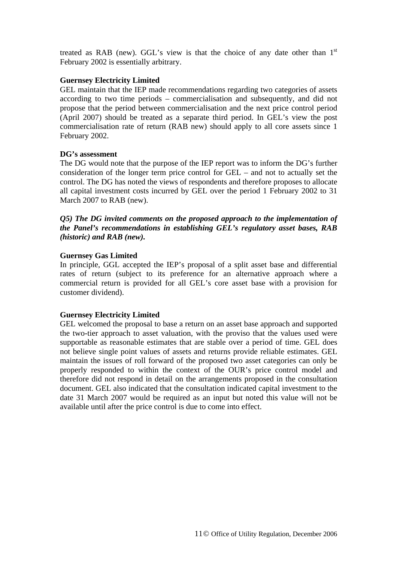treated as RAB (new). GGL's view is that the choice of any date other than  $1<sup>st</sup>$ February 2002 is essentially arbitrary.

#### **Guernsey Electricity Limited**

GEL maintain that the IEP made recommendations regarding two categories of assets according to two time periods – commercialisation and subsequently, and did not propose that the period between commercialisation and the next price control period (April 2007) should be treated as a separate third period. In GEL's view the post commercialisation rate of return (RAB new) should apply to all core assets since 1 February 2002.

#### **DG's assessment**

The DG would note that the purpose of the IEP report was to inform the DG's further consideration of the longer term price control for GEL – and not to actually set the control. The DG has noted the views of respondents and therefore proposes to allocate all capital investment costs incurred by GEL over the period 1 February 2002 to 31 March 2007 to RAB (new).

*Q5) The DG invited comments on the proposed approach to the implementation of the Panel's recommendations in establishing GEL's regulatory asset bases, RAB (historic) and RAB (new).* 

#### **Guernsey Gas Limited**

In principle, GGL accepted the IEP's proposal of a split asset base and differential rates of return (subject to its preference for an alternative approach where a commercial return is provided for all GEL's core asset base with a provision for customer dividend).

#### **Guernsey Electricity Limited**

GEL welcomed the proposal to base a return on an asset base approach and supported the two-tier approach to asset valuation, with the proviso that the values used were supportable as reasonable estimates that are stable over a period of time. GEL does not believe single point values of assets and returns provide reliable estimates. GEL maintain the issues of roll forward of the proposed two asset categories can only be properly responded to within the context of the OUR's price control model and therefore did not respond in detail on the arrangements proposed in the consultation document. GEL also indicated that the consultation indicated capital investment to the date 31 March 2007 would be required as an input but noted this value will not be available until after the price control is due to come into effect.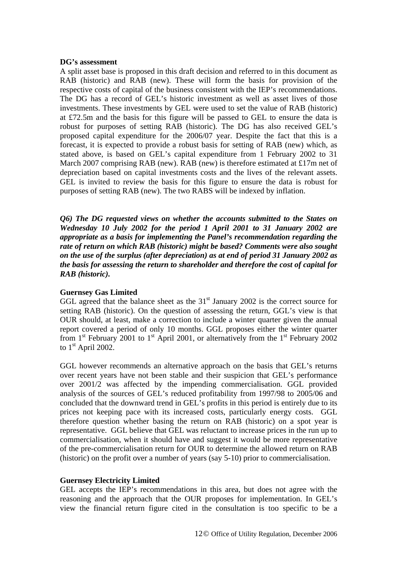#### **DG's assessment**

A split asset base is proposed in this draft decision and referred to in this document as RAB (historic) and RAB (new). These will form the basis for provision of the respective costs of capital of the business consistent with the IEP's recommendations. The DG has a record of GEL's historic investment as well as asset lives of those investments. These investments by GEL were used to set the value of RAB (historic) at £72.5m and the basis for this figure will be passed to GEL to ensure the data is robust for purposes of setting RAB (historic). The DG has also received GEL's proposed capital expenditure for the 2006/07 year. Despite the fact that this is a forecast, it is expected to provide a robust basis for setting of RAB (new) which, as stated above, is based on GEL's capital expenditure from 1 February 2002 to 31 March 2007 comprising RAB (new). RAB (new) is therefore estimated at £17m net of depreciation based on capital investments costs and the lives of the relevant assets. GEL is invited to review the basis for this figure to ensure the data is robust for purposes of setting RAB (new). The two RABS will be indexed by inflation.

*Q6) The DG requested views on whether the accounts submitted to the States on Wednesday 10 July 2002 for the period 1 April 2001 to 31 January 2002 are appropriate as a basis for implementing the Panel's recommendation regarding the rate of return on which RAB (historic) might be based? Comments were also sought on the use of the surplus (after depreciation) as at end of period 31 January 2002 as the basis for assessing the return to shareholder and therefore the cost of capital for RAB (historic).* 

#### **Guernsey Gas Limited**

GGL agreed that the balance sheet as the  $31<sup>st</sup>$  January 2002 is the correct source for setting RAB (historic). On the question of assessing the return, GGL's view is that OUR should, at least, make a correction to include a winter quarter given the annual report covered a period of only 10 months. GGL proposes either the winter quarter from  $1<sup>st</sup>$  February 2001 to  $1<sup>st</sup>$  April 2001, or alternatively from the  $1<sup>st</sup>$  February 2002 to 1<sup>st</sup> April 2002.

GGL however recommends an alternative approach on the basis that GEL's returns over recent years have not been stable and their suspicion that GEL's performance over 2001/2 was affected by the impending commercialisation. GGL provided analysis of the sources of GEL's reduced profitability from 1997/98 to 2005/06 and concluded that the downward trend in GEL's profits in this period is entirely due to its prices not keeping pace with its increased costs, particularly energy costs. GGL therefore question whether basing the return on RAB (historic) on a spot year is representative. GGL believe that GEL was reluctant to increase prices in the run up to commercialisation, when it should have and suggest it would be more representative of the pre-commercialisation return for OUR to determine the allowed return on RAB (historic) on the profit over a number of years (say 5-10) prior to commercialisation.

#### **Guernsey Electricity Limited**

GEL accepts the IEP's recommendations in this area, but does not agree with the reasoning and the approach that the OUR proposes for implementation. In GEL's view the financial return figure cited in the consultation is too specific to be a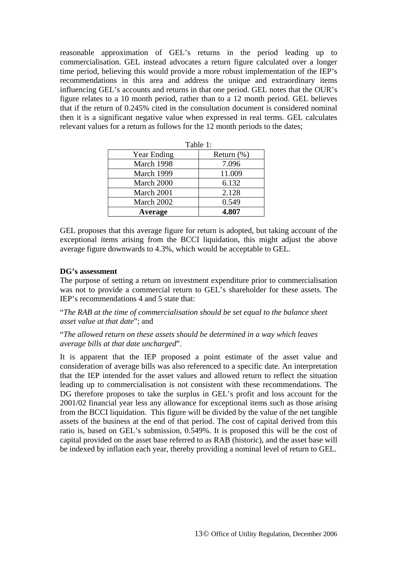reasonable approximation of GEL's returns in the period leading up to commercialisation. GEL instead advocates a return figure calculated over a longer time period, believing this would provide a more robust implementation of the IEP's recommendations in this area and address the unique and extraordinary items influencing GEL's accounts and returns in that one period. GEL notes that the OUR's figure relates to a 10 month period, rather than to a 12 month period. GEL believes that if the return of 0.245% cited in the consultation document is considered nominal then it is a significant negative value when expressed in real terms. GEL calculates relevant values for a return as follows for the 12 month periods to the dates;

 $T_1$  1:1:1:1

|                | rabie i :     |
|----------------|---------------|
| Year Ending    | Return $(\%)$ |
| March 1998     | 7.096         |
| March 1999     | 11.009        |
| March 2000     | 6.132         |
| March 2001     | 2.128         |
| March 2002     | 0.549         |
| <b>Average</b> | 4.807         |

GEL proposes that this average figure for return is adopted, but taking account of the exceptional items arising from the BCCI liquidation, this might adjust the above average figure downwards to 4.3%, which would be acceptable to GEL.

#### **DG's assessment**

The purpose of setting a return on investment expenditure prior to commercialisation was not to provide a commercial return to GEL's shareholder for these assets. The IEP's recommendations 4 and 5 state that:

"*The RAB at the time of commercialisation should be set equal to the balance sheet asset value at that date*"; and

"*The allowed return on these assets should be determined in a way which leaves average bills at that date uncharged*".

It is apparent that the IEP proposed a point estimate of the asset value and consideration of average bills was also referenced to a specific date. An interpretation that the IEP intended for the asset values and allowed return to reflect the situation leading up to commercialisation is not consistent with these recommendations. The DG therefore proposes to take the surplus in GEL's profit and loss account for the 2001/02 financial year less any allowance for exceptional items such as those arising from the BCCI liquidation. This figure will be divided by the value of the net tangible assets of the business at the end of that period. The cost of capital derived from this ratio is, based on GEL's submission, 0.549%. It is proposed this will be the cost of capital provided on the asset base referred to as RAB (historic), and the asset base will be indexed by inflation each year, thereby providing a nominal level of return to GEL.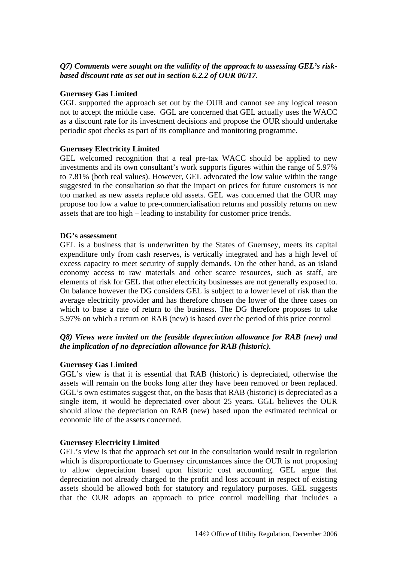#### *Q7) Comments were sought on the validity of the approach to assessing GEL's riskbased discount rate as set out in section 6.2.2 of OUR 06/17.*

#### **Guernsey Gas Limited**

GGL supported the approach set out by the OUR and cannot see any logical reason not to accept the middle case. GGL are concerned that GEL actually uses the WACC as a discount rate for its investment decisions and propose the OUR should undertake periodic spot checks as part of its compliance and monitoring programme.

#### **Guernsey Electricity Limited**

GEL welcomed recognition that a real pre-tax WACC should be applied to new investments and its own consultant's work supports figures within the range of 5.97% to 7.81% (both real values). However, GEL advocated the low value within the range suggested in the consultation so that the impact on prices for future customers is not too marked as new assets replace old assets. GEL was concerned that the OUR may propose too low a value to pre-commercialisation returns and possibly returns on new assets that are too high – leading to instability for customer price trends.

#### **DG's assessment**

GEL is a business that is underwritten by the States of Guernsey, meets its capital expenditure only from cash reserves, is vertically integrated and has a high level of excess capacity to meet security of supply demands. On the other hand, as an island economy access to raw materials and other scarce resources, such as staff, are elements of risk for GEL that other electricity businesses are not generally exposed to. On balance however the DG considers GEL is subject to a lower level of risk than the average electricity provider and has therefore chosen the lower of the three cases on which to base a rate of return to the business. The DG therefore proposes to take 5.97% on which a return on RAB (new) is based over the period of this price control

#### *Q8) Views were invited on the feasible depreciation allowance for RAB (new) and the implication of no depreciation allowance for RAB (historic).*

#### **Guernsey Gas Limited**

GGL's view is that it is essential that RAB (historic) is depreciated, otherwise the assets will remain on the books long after they have been removed or been replaced. GGL's own estimates suggest that, on the basis that RAB (historic) is depreciated as a single item, it would be depreciated over about 25 years. GGL believes the OUR should allow the depreciation on RAB (new) based upon the estimated technical or economic life of the assets concerned.

#### **Guernsey Electricity Limited**

GEL's view is that the approach set out in the consultation would result in regulation which is disproportionate to Guernsey circumstances since the OUR is not proposing to allow depreciation based upon historic cost accounting. GEL argue that depreciation not already charged to the profit and loss account in respect of existing assets should be allowed both for statutory and regulatory purposes. GEL suggests that the OUR adopts an approach to price control modelling that includes a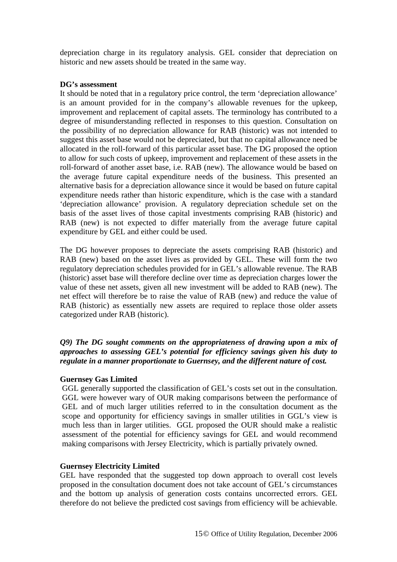depreciation charge in its regulatory analysis. GEL consider that depreciation on historic and new assets should be treated in the same way.

#### **DG's assessment**

It should be noted that in a regulatory price control, the term 'depreciation allowance' is an amount provided for in the company's allowable revenues for the upkeep, improvement and replacement of capital assets. The terminology has contributed to a degree of misunderstanding reflected in responses to this question. Consultation on the possibility of no depreciation allowance for RAB (historic) was not intended to suggest this asset base would not be depreciated, but that no capital allowance need be allocated in the roll-forward of this particular asset base. The DG proposed the option to allow for such costs of upkeep, improvement and replacement of these assets in the roll-forward of another asset base, i.e. RAB (new). The allowance would be based on the average future capital expenditure needs of the business. This presented an alternative basis for a depreciation allowance since it would be based on future capital expenditure needs rather than historic expenditure, which is the case with a standard 'depreciation allowance' provision. A regulatory depreciation schedule set on the basis of the asset lives of those capital investments comprising RAB (historic) and RAB (new) is not expected to differ materially from the average future capital expenditure by GEL and either could be used.

The DG however proposes to depreciate the assets comprising RAB (historic) and RAB (new) based on the asset lives as provided by GEL. These will form the two regulatory depreciation schedules provided for in GEL's allowable revenue. The RAB (historic) asset base will therefore decline over time as depreciation charges lower the value of these net assets, given all new investment will be added to RAB (new). The net effect will therefore be to raise the value of RAB (new) and reduce the value of RAB (historic) as essentially new assets are required to replace those older assets categorized under RAB (historic).

*Q9) The DG sought comments on the appropriateness of drawing upon a mix of approaches to assessing GEL's potential for efficiency savings given his duty to regulate in a manner proportionate to Guernsey, and the different nature of cost.* 

#### **Guernsey Gas Limited**

GGL generally supported the classification of GEL's costs set out in the consultation. GGL were however wary of OUR making comparisons between the performance of GEL and of much larger utilities referred to in the consultation document as the scope and opportunity for efficiency savings in smaller utilities in GGL's view is much less than in larger utilities. GGL proposed the OUR should make a realistic assessment of the potential for efficiency savings for GEL and would recommend making comparisons with Jersey Electricity, which is partially privately owned.

#### **Guernsey Electricity Limited**

GEL have responded that the suggested top down approach to overall cost levels proposed in the consultation document does not take account of GEL's circumstances and the bottom up analysis of generation costs contains uncorrected errors. GEL therefore do not believe the predicted cost savings from efficiency will be achievable.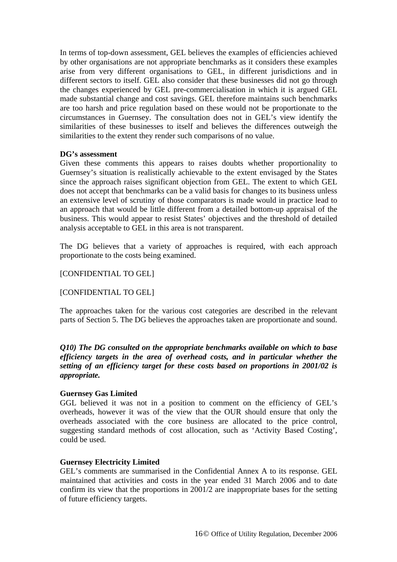In terms of top-down assessment, GEL believes the examples of efficiencies achieved by other organisations are not appropriate benchmarks as it considers these examples arise from very different organisations to GEL, in different jurisdictions and in different sectors to itself. GEL also consider that these businesses did not go through the changes experienced by GEL pre-commercialisation in which it is argued GEL made substantial change and cost savings. GEL therefore maintains such benchmarks are too harsh and price regulation based on these would not be proportionate to the circumstances in Guernsey. The consultation does not in GEL's view identify the similarities of these businesses to itself and believes the differences outweigh the similarities to the extent they render such comparisons of no value.

#### **DG's assessment**

Given these comments this appears to raises doubts whether proportionality to Guernsey's situation is realistically achievable to the extent envisaged by the States since the approach raises significant objection from GEL. The extent to which GEL does not accept that benchmarks can be a valid basis for changes to its business unless an extensive level of scrutiny of those comparators is made would in practice lead to an approach that would be little different from a detailed bottom-up appraisal of the business. This would appear to resist States' objectives and the threshold of detailed analysis acceptable to GEL in this area is not transparent.

The DG believes that a variety of approaches is required, with each approach proportionate to the costs being examined.

#### [CONFIDENTIAL TO GEL]

#### [CONFIDENTIAL TO GEL]

The approaches taken for the various cost categories are described in the relevant parts of Section 5. The DG believes the approaches taken are proportionate and sound.

*Q10) The DG consulted on the appropriate benchmarks available on which to base efficiency targets in the area of overhead costs, and in particular whether the setting of an efficiency target for these costs based on proportions in 2001/02 is appropriate.* 

#### **Guernsey Gas Limited**

GGL believed it was not in a position to comment on the efficiency of GEL's overheads, however it was of the view that the OUR should ensure that only the overheads associated with the core business are allocated to the price control, suggesting standard methods of cost allocation, such as 'Activity Based Costing', could be used.

#### **Guernsey Electricity Limited**

GEL's comments are summarised in the Confidential Annex A to its response. GEL maintained that activities and costs in the year ended 31 March 2006 and to date confirm its view that the proportions in 2001/2 are inappropriate bases for the setting of future efficiency targets.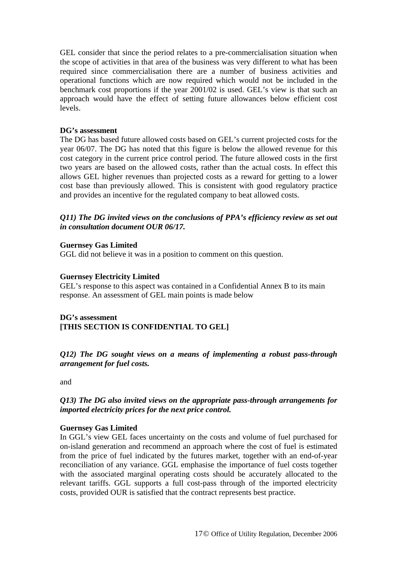GEL consider that since the period relates to a pre-commercialisation situation when the scope of activities in that area of the business was very different to what has been required since commercialisation there are a number of business activities and operational functions which are now required which would not be included in the benchmark cost proportions if the year 2001/02 is used. GEL's view is that such an approach would have the effect of setting future allowances below efficient cost levels.

#### **DG's assessment**

The DG has based future allowed costs based on GEL's current projected costs for the year 06/07. The DG has noted that this figure is below the allowed revenue for this cost category in the current price control period. The future allowed costs in the first two years are based on the allowed costs, rather than the actual costs. In effect this allows GEL higher revenues than projected costs as a reward for getting to a lower cost base than previously allowed. This is consistent with good regulatory practice and provides an incentive for the regulated company to beat allowed costs.

#### *Q11) The DG invited views on the conclusions of PPA's efficiency review as set out in consultation document OUR 06/17.*

#### **Guernsey Gas Limited**

GGL did not believe it was in a position to comment on this question.

#### **Guernsey Electricity Limited**

GEL's response to this aspect was contained in a Confidential Annex B to its main response. An assessment of GEL main points is made below

#### **DG's assessment [THIS SECTION IS CONFIDENTIAL TO GEL]**

*Q12) The DG sought views on a means of implementing a robust pass-through arrangement for fuel costs.* 

and

#### *Q13) The DG also invited views on the appropriate pass-through arrangements for imported electricity prices for the next price control.*

#### **Guernsey Gas Limited**

In GGL's view GEL faces uncertainty on the costs and volume of fuel purchased for on-island generation and recommend an approach where the cost of fuel is estimated from the price of fuel indicated by the futures market, together with an end-of-year reconciliation of any variance. GGL emphasise the importance of fuel costs together with the associated marginal operating costs should be accurately allocated to the relevant tariffs. GGL supports a full cost-pass through of the imported electricity costs, provided OUR is satisfied that the contract represents best practice.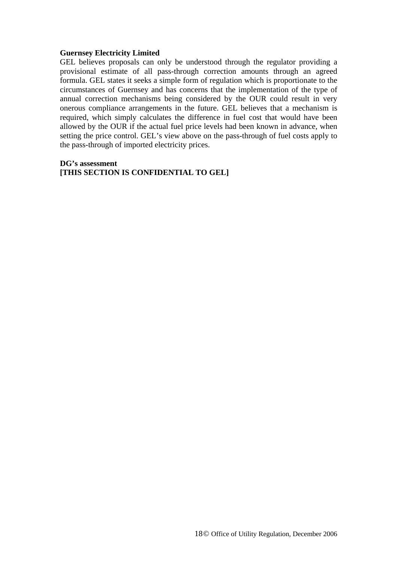#### **Guernsey Electricity Limited**

GEL believes proposals can only be understood through the regulator providing a provisional estimate of all pass-through correction amounts through an agreed formula. GEL states it seeks a simple form of regulation which is proportionate to the circumstances of Guernsey and has concerns that the implementation of the type of annual correction mechanisms being considered by the OUR could result in very onerous compliance arrangements in the future. GEL believes that a mechanism is required, which simply calculates the difference in fuel cost that would have been allowed by the OUR if the actual fuel price levels had been known in advance, when setting the price control. GEL's view above on the pass-through of fuel costs apply to the pass-through of imported electricity prices.

#### **DG's assessment [THIS SECTION IS CONFIDENTIAL TO GEL]**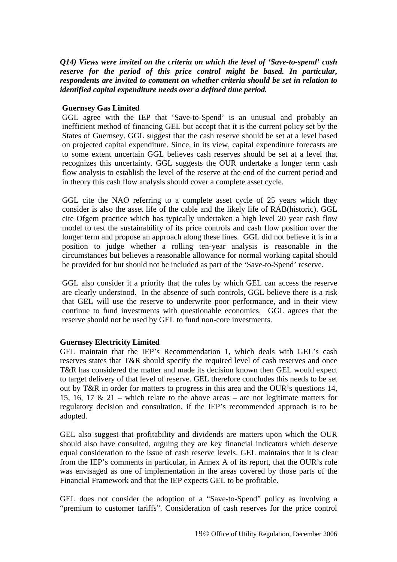*Q14) Views were invited on the criteria on which the level of 'Save-to-spend' cash reserve for the period of this price control might be based. In particular, respondents are invited to comment on whether criteria should be set in relation to identified capital expenditure needs over a defined time period.* 

#### **Guernsey Gas Limited**

GGL agree with the IEP that 'Save-to-Spend' is an unusual and probably an inefficient method of financing GEL but accept that it is the current policy set by the States of Guernsey. GGL suggest that the cash reserve should be set at a level based on projected capital expenditure. Since, in its view, capital expenditure forecasts are to some extent uncertain GGL believes cash reserves should be set at a level that recognizes this uncertainty. GGL suggests the OUR undertake a longer term cash flow analysis to establish the level of the reserve at the end of the current period and in theory this cash flow analysis should cover a complete asset cycle.

GGL cite the NAO referring to a complete asset cycle of 25 years which they consider is also the asset life of the cable and the likely life of RAB(historic). GGL cite Ofgem practice which has typically undertaken a high level 20 year cash flow model to test the sustainability of its price controls and cash flow position over the longer term and propose an approach along these lines. GGL did not believe it is in a position to judge whether a rolling ten-year analysis is reasonable in the circumstances but believes a reasonable allowance for normal working capital should be provided for but should not be included as part of the 'Save-to-Spend' reserve.

GGL also consider it a priority that the rules by which GEL can access the reserve are clearly understood. In the absence of such controls, GGL believe there is a risk that GEL will use the reserve to underwrite poor performance, and in their view continue to fund investments with questionable economics. GGL agrees that the reserve should not be used by GEL to fund non-core investments.

#### **Guernsey Electricity Limited**

GEL maintain that the IEP's Recommendation 1, which deals with GEL's cash reserves states that T&R should specify the required level of cash reserves and once T&R has considered the matter and made its decision known then GEL would expect to target delivery of that level of reserve. GEL therefore concludes this needs to be set out by T&R in order for matters to progress in this area and the OUR's questions 14, 15, 16, 17 & 21 – which relate to the above areas – are not legitimate matters for regulatory decision and consultation, if the IEP's recommended approach is to be adopted.

GEL also suggest that profitability and dividends are matters upon which the OUR should also have consulted, arguing they are key financial indicators which deserve equal consideration to the issue of cash reserve levels. GEL maintains that it is clear from the IEP's comments in particular, in Annex A of its report, that the OUR's role was envisaged as one of implementation in the areas covered by those parts of the Financial Framework and that the IEP expects GEL to be profitable.

GEL does not consider the adoption of a "Save-to-Spend" policy as involving a "premium to customer tariffs". Consideration of cash reserves for the price control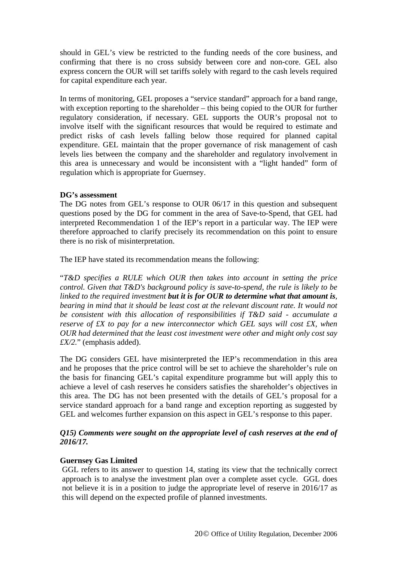should in GEL's view be restricted to the funding needs of the core business, and confirming that there is no cross subsidy between core and non-core. GEL also express concern the OUR will set tariffs solely with regard to the cash levels required for capital expenditure each year.

In terms of monitoring, GEL proposes a "service standard" approach for a band range, with exception reporting to the shareholder – this being copied to the OUR for further regulatory consideration, if necessary. GEL supports the OUR's proposal not to involve itself with the significant resources that would be required to estimate and predict risks of cash levels falling below those required for planned capital expenditure. GEL maintain that the proper governance of risk management of cash levels lies between the company and the shareholder and regulatory involvement in this area is unnecessary and would be inconsistent with a "light handed" form of regulation which is appropriate for Guernsey.

#### **DG's assessment**

The DG notes from GEL's response to OUR 06/17 in this question and subsequent questions posed by the DG for comment in the area of Save-to-Spend, that GEL had interpreted Recommendation 1 of the IEP's report in a particular way. The IEP were therefore approached to clarify precisely its recommendation on this point to ensure there is no risk of misinterpretation.

The IEP have stated its recommendation means the following:

"*T&D specifies a RULE which OUR then takes into account in setting the price control. Given that T&D's background policy is save-to-spend, the rule is likely to be linked to the required investment but it is for OUR to determine what that amount is, bearing in mind that it should be least cost at the relevant discount rate. It would not be consistent with this allocation of responsibilities if T&D said - accumulate a reserve of £X to pay for a new interconnector which GEL says will cost £X, when OUR had determined that the least cost investment were other and might only cost say £X/2.*" (emphasis added).

The DG considers GEL have misinterpreted the IEP's recommendation in this area and he proposes that the price control will be set to achieve the shareholder's rule on the basis for financing GEL's capital expenditure programme but will apply this to achieve a level of cash reserves he considers satisfies the shareholder's objectives in this area. The DG has not been presented with the details of GEL's proposal for a service standard approach for a band range and exception reporting as suggested by GEL and welcomes further expansion on this aspect in GEL's response to this paper.

#### *Q15) Comments were sought on the appropriate level of cash reserves at the end of 2016/17.*

#### **Guernsey Gas Limited**

GGL refers to its answer to question 14, stating its view that the technically correct approach is to analyse the investment plan over a complete asset cycle. GGL does not believe it is in a position to judge the appropriate level of reserve in 2016/17 as this will depend on the expected profile of planned investments.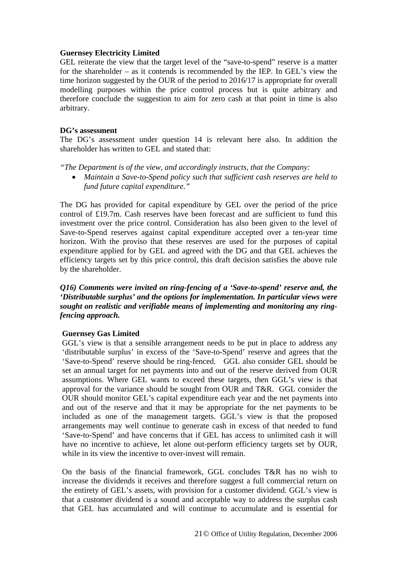#### **Guernsey Electricity Limited**

GEL reiterate the view that the target level of the "save-to-spend" reserve is a matter for the shareholder – as it contends is recommended by the IEP. In GEL's view the time horizon suggested by the OUR of the period to 2016/17 is appropriate for overall modelling purposes within the price control process but is quite arbitrary and therefore conclude the suggestion to aim for zero cash at that point in time is also arbitrary.

#### **DG's assessment**

The DG's assessment under question 14 is relevant here also. In addition the shareholder has written to GEL and stated that:

*"The Department is of the view, and accordingly instructs, that the Company:* 

• *Maintain a Save-to-Spend policy such that sufficient cash reserves are held to fund future capital expenditure."* 

The DG has provided for capital expenditure by GEL over the period of the price control of £19.7m. Cash reserves have been forecast and are sufficient to fund this investment over the price control. Consideration has also been given to the level of Save-to-Spend reserves against capital expenditure accepted over a ten-year time horizon. With the proviso that these reserves are used for the purposes of capital expenditure applied for by GEL and agreed with the DG and that GEL achieves the efficiency targets set by this price control, this draft decision satisfies the above rule by the shareholder.

#### *Q16) Comments were invited on ring-fencing of a 'Save-to-spend' reserve and, the 'Distributable surplus' and the options for implementation. In particular views were sought on realistic and verifiable means of implementing and monitoring any ringfencing approach.*

#### **Guernsey Gas Limited**

GGL's view is that a sensible arrangement needs to be put in place to address any 'distributable surplus' in excess of the 'Save-to-Spend' reserve and agrees that the 'Save-to-Spend' reserve should be ring-fenced. GGL also consider GEL should be set an annual target for net payments into and out of the reserve derived from OUR assumptions. Where GEL wants to exceed these targets, then GGL's view is that approval for the variance should be sought from OUR and T&R. GGL consider the OUR should monitor GEL's capital expenditure each year and the net payments into and out of the reserve and that it may be appropriate for the net payments to be included as one of the management targets. GGL's view is that the proposed arrangements may well continue to generate cash in excess of that needed to fund 'Save-to-Spend' and have concerns that if GEL has access to unlimited cash it will have no incentive to achieve, let alone out-perform efficiency targets set by OUR, while in its view the incentive to over-invest will remain.

On the basis of the financial framework, GGL concludes T&R has no wish to increase the dividends it receives and therefore suggest a full commercial return on the entirety of GEL's assets, with provision for a customer dividend. GGL's view is that a customer dividend is a sound and acceptable way to address the surplus cash that GEL has accumulated and will continue to accumulate and is essential for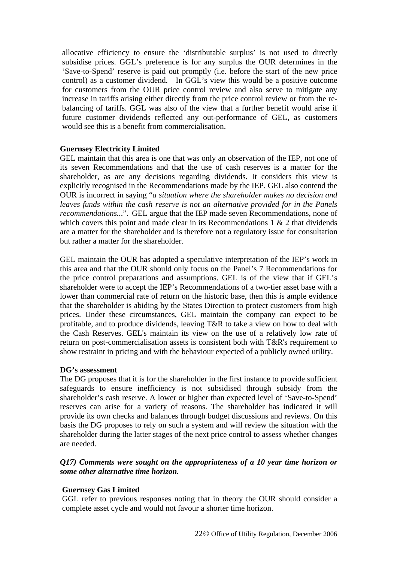allocative efficiency to ensure the 'distributable surplus' is not used to directly subsidise prices. GGL's preference is for any surplus the OUR determines in the 'Save-to-Spend' reserve is paid out promptly (i.e. before the start of the new price control) as a customer dividend. In GGL's view this would be a positive outcome for customers from the OUR price control review and also serve to mitigate any increase in tariffs arising either directly from the price control review or from the rebalancing of tariffs. GGL was also of the view that a further benefit would arise if future customer dividends reflected any out-performance of GEL, as customers would see this is a benefit from commercialisation.

#### **Guernsey Electricity Limited**

GEL maintain that this area is one that was only an observation of the IEP, not one of its seven Recommendations and that the use of cash reserves is a matter for the shareholder, as are any decisions regarding dividends. It considers this view is explicitly recognised in the Recommendations made by the IEP. GEL also contend the OUR is incorrect in saying "*a situation where the shareholder makes no decision and leaves funds within the cash reserve is not an alternative provided for in the Panels recommendations..*.". GEL argue that the IEP made seven Recommendations, none of which covers this point and made clear in its Recommendations  $1 \& 2$  that dividends are a matter for the shareholder and is therefore not a regulatory issue for consultation but rather a matter for the shareholder.

GEL maintain the OUR has adopted a speculative interpretation of the IEP's work in this area and that the OUR should only focus on the Panel's 7 Recommendations for the price control preparations and assumptions. GEL is of the view that if GEL's shareholder were to accept the IEP's Recommendations of a two-tier asset base with a lower than commercial rate of return on the historic base, then this is ample evidence that the shareholder is abiding by the States Direction to protect customers from high prices. Under these circumstances, GEL maintain the company can expect to be profitable, and to produce dividends, leaving T&R to take a view on how to deal with the Cash Reserves. GEL's maintain its view on the use of a relatively low rate of return on post-commercialisation assets is consistent both with T&R's requirement to show restraint in pricing and with the behaviour expected of a publicly owned utility.

#### **DG's assessment**

The DG proposes that it is for the shareholder in the first instance to provide sufficient safeguards to ensure inefficiency is not subsidised through subsidy from the shareholder's cash reserve. A lower or higher than expected level of 'Save-to-Spend' reserves can arise for a variety of reasons. The shareholder has indicated it will provide its own checks and balances through budget discussions and reviews. On this basis the DG proposes to rely on such a system and will review the situation with the shareholder during the latter stages of the next price control to assess whether changes are needed.

#### *Q17) Comments were sought on the appropriateness of a 10 year time horizon or some other alternative time horizon.*

#### **Guernsey Gas Limited**

GGL refer to previous responses noting that in theory the OUR should consider a complete asset cycle and would not favour a shorter time horizon.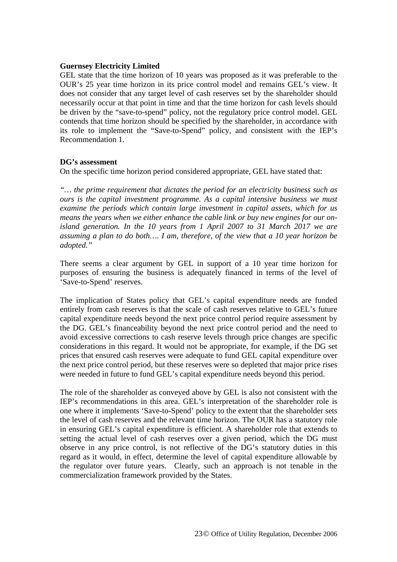#### **Guernsey Electricity Limited**

GEL state that the time horizon of 10 years was proposed as it was preferable to the OUR's 25 year time horizon in its price control model and remains GEL's view. It does not consider that any target level of cash reserves set by the shareholder should necessarily occur at that point in time and that the time horizon for cash levels should be driven by the "save-to-spend" policy, not the regulatory price control model. GEL contends that time horizon should be specified by the shareholder, in accordance with its role to implement the "Save-to-Spend" policy, and consistent with the IEP's Recommendation 1.

#### **DG's assessment**

On the specific time horizon period considered appropriate, GEL have stated that:

*"… the prime requirement that dictates the period for an electricity business such as ours is the capital investment programme. As a capital intensive business we must examine the periods which contain large investment in capital assets, which for us means the years when we either enhance the cable link or buy new engines for our onisland generation. In the 10 years from 1 April 2007 to 31 March 2017 we are assuming a plan to do both…. I am, therefore, of the view that a 10 year horizon be adopted."* 

There seems a clear argument by GEL in support of a 10 year time horizon for purposes of ensuring the business is adequately financed in terms of the level of 'Save-to-Spend' reserves.

The implication of States policy that GEL's capital expenditure needs are funded entirely from cash reserves is that the scale of cash reserves relative to GEL's future capital expenditure needs beyond the next price control period require assessment by the DG. GEL's financeability beyond the next price control period and the need to avoid excessive corrections to cash reserve levels through price changes are specific considerations in this regard. It would not be appropriate, for example, if the DG set prices that ensured cash reserves were adequate to fund GEL capital expenditure over the next price control period, but these reserves were so depleted that major price rises were needed in future to fund GEL's capital expenditure needs beyond this period.

The role of the shareholder as conveyed above by GEL is also not consistent with the IEP's recommendations in this area. GEL's interpretation of the shareholder role is one where it implements 'Save-to-Spend' policy to the extent that the shareholder sets the level of cash reserves and the relevant time horizon. The OUR has a statutory role in ensuring GEL's capital expenditure is efficient. A shareholder role that extends to setting the actual level of cash reserves over a given period, which the DG must observe in any price control, is not reflective of the DG's statutory duties in this regard as it would, in effect, determine the level of capital expenditure allowable by the regulator over future years. Clearly, such an approach is not tenable in the commercialization framework provided by the States.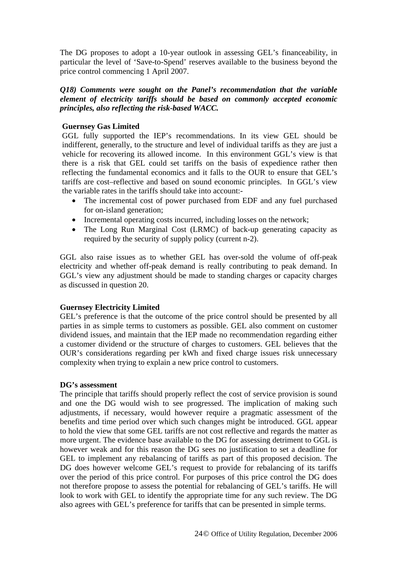The DG proposes to adopt a 10-year outlook in assessing GEL's financeability, in particular the level of 'Save-to-Spend' reserves available to the business beyond the price control commencing 1 April 2007.

#### *Q18) Comments were sought on the Panel's recommendation that the variable element of electricity tariffs should be based on commonly accepted economic principles, also reflecting the risk-based WACC.*

#### **Guernsey Gas Limited**

GGL fully supported the IEP's recommendations. In its view GEL should be indifferent, generally, to the structure and level of individual tariffs as they are just a vehicle for recovering its allowed income. In this environment GGL's view is that there is a risk that GEL could set tariffs on the basis of expedience rather then reflecting the fundamental economics and it falls to the OUR to ensure that GEL's tariffs are cost–reflective and based on sound economic principles. In GGL's view the variable rates in the tariffs should take into account:-

- The incremental cost of power purchased from EDF and any fuel purchased for on-island generation;
- Incremental operating costs incurred, including losses on the network;
- The Long Run Marginal Cost (LRMC) of back-up generating capacity as required by the security of supply policy (current n-2).

GGL also raise issues as to whether GEL has over-sold the volume of off-peak electricity and whether off-peak demand is really contributing to peak demand. In GGL's view any adjustment should be made to standing charges or capacity charges as discussed in question 20.

#### **Guernsey Electricity Limited**

GEL's preference is that the outcome of the price control should be presented by all parties in as simple terms to customers as possible. GEL also comment on customer dividend issues, and maintain that the IEP made no recommendation regarding either a customer dividend or the structure of charges to customers. GEL believes that the OUR's considerations regarding per kWh and fixed charge issues risk unnecessary complexity when trying to explain a new price control to customers.

#### **DG's assessment**

The principle that tariffs should properly reflect the cost of service provision is sound and one the DG would wish to see progressed. The implication of making such adjustments, if necessary, would however require a pragmatic assessment of the benefits and time period over which such changes might be introduced. GGL appear to hold the view that some GEL tariffs are not cost reflective and regards the matter as more urgent. The evidence base available to the DG for assessing detriment to GGL is however weak and for this reason the DG sees no justification to set a deadline for GEL to implement any rebalancing of tariffs as part of this proposed decision. The DG does however welcome GEL's request to provide for rebalancing of its tariffs over the period of this price control. For purposes of this price control the DG does not therefore propose to assess the potential for rebalancing of GEL's tariffs. He will look to work with GEL to identify the appropriate time for any such review. The DG also agrees with GEL's preference for tariffs that can be presented in simple terms.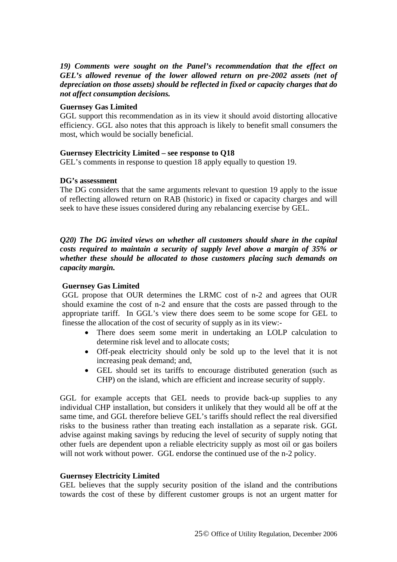#### *19) Comments were sought on the Panel's recommendation that the effect on GEL's allowed revenue of the lower allowed return on pre-2002 assets (net of depreciation on those assets) should be reflected in fixed or capacity charges that do not affect consumption decisions.*

#### **Guernsey Gas Limited**

GGL support this recommendation as in its view it should avoid distorting allocative efficiency. GGL also notes that this approach is likely to benefit small consumers the most, which would be socially beneficial.

#### **Guernsey Electricity Limited – see response to Q18**

GEL's comments in response to question 18 apply equally to question 19.

#### **DG's assessment**

The DG considers that the same arguments relevant to question 19 apply to the issue of reflecting allowed return on RAB (historic) in fixed or capacity charges and will seek to have these issues considered during any rebalancing exercise by GEL.

*Q20) The DG invited views on whether all customers should share in the capital costs required to maintain a security of supply level above a margin of 35% or whether these should be allocated to those customers placing such demands on capacity margin.* 

#### **Guernsey Gas Limited**

GGL propose that OUR determines the LRMC cost of n-2 and agrees that OUR should examine the cost of n-2 and ensure that the costs are passed through to the appropriate tariff. In GGL's view there does seem to be some scope for GEL to finesse the allocation of the cost of security of supply as in its view:-

- There does seem some merit in undertaking an LOLP calculation to determine risk level and to allocate costs;
- Off-peak electricity should only be sold up to the level that it is not increasing peak demand; and,
- GEL should set its tariffs to encourage distributed generation (such as CHP) on the island, which are efficient and increase security of supply.

GGL for example accepts that GEL needs to provide back-up supplies to any individual CHP installation, but considers it unlikely that they would all be off at the same time, and GGL therefore believe GEL's tariffs should reflect the real diversified risks to the business rather than treating each installation as a separate risk. GGL advise against making savings by reducing the level of security of supply noting that other fuels are dependent upon a reliable electricity supply as most oil or gas boilers will not work without power. GGL endorse the continued use of the n-2 policy.

#### **Guernsey Electricity Limited**

GEL believes that the supply security position of the island and the contributions towards the cost of these by different customer groups is not an urgent matter for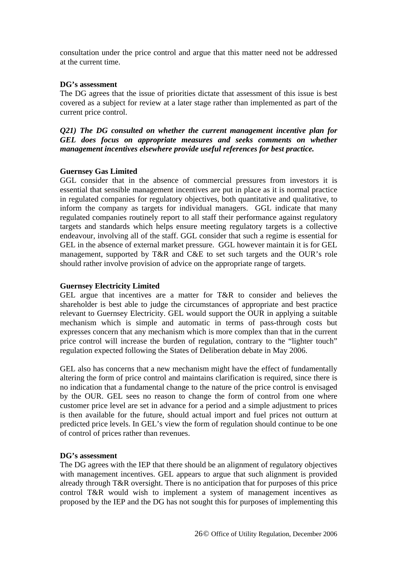consultation under the price control and argue that this matter need not be addressed at the current time.

#### **DG's assessment**

The DG agrees that the issue of priorities dictate that assessment of this issue is best covered as a subject for review at a later stage rather than implemented as part of the current price control.

*Q21) The DG consulted on whether the current management incentive plan for GEL does focus on appropriate measures and seeks comments on whether management incentives elsewhere provide useful references for best practice.* 

#### **Guernsey Gas Limited**

GGL consider that in the absence of commercial pressures from investors it is essential that sensible management incentives are put in place as it is normal practice in regulated companies for regulatory objectives, both quantitative and qualitative, to inform the company as targets for individual managers. GGL indicate that many regulated companies routinely report to all staff their performance against regulatory targets and standards which helps ensure meeting regulatory targets is a collective endeavour, involving all of the staff. GGL consider that such a regime is essential for GEL in the absence of external market pressure. GGL however maintain it is for GEL management, supported by T&R and C&E to set such targets and the OUR's role should rather involve provision of advice on the appropriate range of targets.

#### **Guernsey Electricity Limited**

GEL argue that incentives are a matter for T&R to consider and believes the shareholder is best able to judge the circumstances of appropriate and best practice relevant to Guernsey Electricity. GEL would support the OUR in applying a suitable mechanism which is simple and automatic in terms of pass-through costs but expresses concern that any mechanism which is more complex than that in the current price control will increase the burden of regulation, contrary to the "lighter touch" regulation expected following the States of Deliberation debate in May 2006.

GEL also has concerns that a new mechanism might have the effect of fundamentally altering the form of price control and maintains clarification is required, since there is no indication that a fundamental change to the nature of the price control is envisaged by the OUR. GEL sees no reason to change the form of control from one where customer price level are set in advance for a period and a simple adjustment to prices is then available for the future, should actual import and fuel prices not outturn at predicted price levels. In GEL's view the form of regulation should continue to be one of control of prices rather than revenues.

#### **DG's assessment**

The DG agrees with the IEP that there should be an alignment of regulatory objectives with management incentives. GEL appears to argue that such alignment is provided already through T&R oversight. There is no anticipation that for purposes of this price control T&R would wish to implement a system of management incentives as proposed by the IEP and the DG has not sought this for purposes of implementing this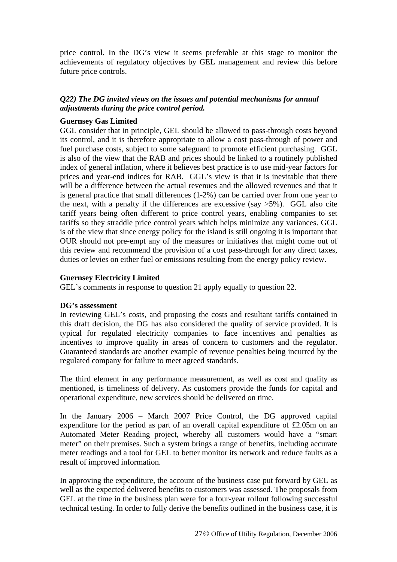price control. In the DG's view it seems preferable at this stage to monitor the achievements of regulatory objectives by GEL management and review this before future price controls.

#### *Q22) The DG invited views on the issues and potential mechanisms for annual adjustments during the price control period.*

#### **Guernsey Gas Limited**

GGL consider that in principle, GEL should be allowed to pass-through costs beyond its control, and it is therefore appropriate to allow a cost pass-through of power and fuel purchase costs, subject to some safeguard to promote efficient purchasing. GGL is also of the view that the RAB and prices should be linked to a routinely published index of general inflation, where it believes best practice is to use mid-year factors for prices and year-end indices for RAB. GGL's view is that it is inevitable that there will be a difference between the actual revenues and the allowed revenues and that it is general practice that small differences (1-2%) can be carried over from one year to the next, with a penalty if the differences are excessive (say  $>5\%$ ). GGL also cite tariff years being often different to price control years, enabling companies to set tariffs so they straddle price control years which helps minimize any variances. GGL is of the view that since energy policy for the island is still ongoing it is important that OUR should not pre-empt any of the measures or initiatives that might come out of this review and recommend the provision of a cost pass-through for any direct taxes, duties or levies on either fuel or emissions resulting from the energy policy review.

#### **Guernsey Electricity Limited**

GEL's comments in response to question 21 apply equally to question 22.

#### **DG's assessment**

In reviewing GEL's costs, and proposing the costs and resultant tariffs contained in this draft decision, the DG has also considered the quality of service provided. It is typical for regulated electricity companies to face incentives and penalties as incentives to improve quality in areas of concern to customers and the regulator. Guaranteed standards are another example of revenue penalties being incurred by the regulated company for failure to meet agreed standards.

The third element in any performance measurement, as well as cost and quality as mentioned, is timeliness of delivery. As customers provide the funds for capital and operational expenditure, new services should be delivered on time.

In the January 2006 – March 2007 Price Control, the DG approved capital expenditure for the period as part of an overall capital expenditure of £2.05m on an Automated Meter Reading project, whereby all customers would have a "smart meter" on their premises. Such a system brings a range of benefits, including accurate meter readings and a tool for GEL to better monitor its network and reduce faults as a result of improved information.

In approving the expenditure, the account of the business case put forward by GEL as well as the expected delivered benefits to customers was assessed. The proposals from GEL at the time in the business plan were for a four-year rollout following successful technical testing. In order to fully derive the benefits outlined in the business case, it is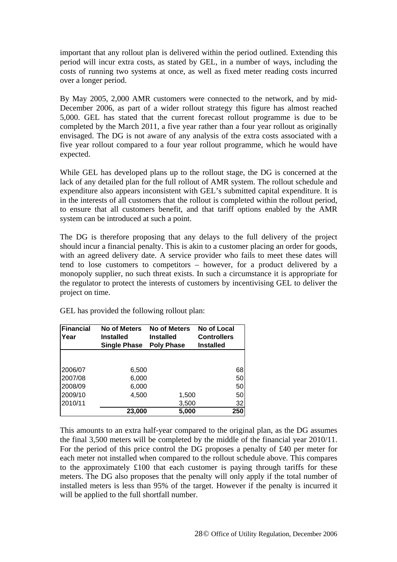important that any rollout plan is delivered within the period outlined. Extending this period will incur extra costs, as stated by GEL, in a number of ways, including the costs of running two systems at once, as well as fixed meter reading costs incurred over a longer period.

By May 2005, 2,000 AMR customers were connected to the network, and by mid-December 2006, as part of a wider rollout strategy this figure has almost reached 5,000. GEL has stated that the current forecast rollout programme is due to be completed by the March 2011, a five year rather than a four year rollout as originally envisaged. The DG is not aware of any analysis of the extra costs associated with a five year rollout compared to a four year rollout programme, which he would have expected.

While GEL has developed plans up to the rollout stage, the DG is concerned at the lack of any detailed plan for the full rollout of AMR system. The rollout schedule and expenditure also appears inconsistent with GEL's submitted capital expenditure. It is in the interests of all customers that the rollout is completed within the rollout period, to ensure that all customers benefit, and that tariff options enabled by the AMR system can be introduced at such a point.

The DG is therefore proposing that any delays to the full delivery of the project should incur a financial penalty. This is akin to a customer placing an order for goods, with an agreed delivery date. A service provider who fails to meet these dates will tend to lose customers to competitors – however, for a product delivered by a monopoly supplier, no such threat exists. In such a circumstance it is appropriate for the regulator to protect the interests of customers by incentivising GEL to deliver the project on time.

| Financial<br>Year | <b>No of Meters</b><br><b>Installed</b><br><b>Single Phase</b> | No of Meters<br><b>Installed</b><br><b>Poly Phase</b> | No of Local<br><b>Controllers</b><br><b>Installed</b> |
|-------------------|----------------------------------------------------------------|-------------------------------------------------------|-------------------------------------------------------|
|                   |                                                                |                                                       |                                                       |
| 2006/07           | 6,500                                                          |                                                       | 68                                                    |
| 2007/08           | 6,000                                                          |                                                       | 50                                                    |
| 2008/09           | 6,000                                                          |                                                       | 50                                                    |
| 2009/10           | 4,500                                                          | 1,500                                                 | 50                                                    |
| 2010/11           |                                                                | 3,500                                                 | 32                                                    |
|                   | 23,000                                                         | 5,000                                                 | 250                                                   |

GEL has provided the following rollout plan:

This amounts to an extra half-year compared to the original plan, as the DG assumes the final 3,500 meters will be completed by the middle of the financial year 2010/11. For the period of this price control the DG proposes a penalty of £40 per meter for each meter not installed when compared to the rollout schedule above. This compares to the approximately £100 that each customer is paying through tariffs for these meters. The DG also proposes that the penalty will only apply if the total number of installed meters is less than 95% of the target. However if the penalty is incurred it will be applied to the full shortfall number.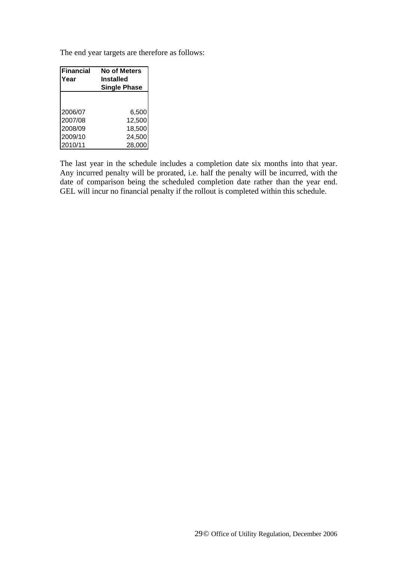The end year targets are therefore as follows:

| <b>Financial</b> | <b>No of Meters</b> |  |  |
|------------------|---------------------|--|--|
| Year             | <b>Installed</b>    |  |  |
|                  | <b>Single Phase</b> |  |  |
|                  |                     |  |  |
|                  |                     |  |  |
| 2006/07          | 6,500               |  |  |
| 2007/08          | 12,500              |  |  |
| 2008/09          | 18,500              |  |  |
| 2009/10          | 24,500              |  |  |
| 2010/11          | 28,000              |  |  |

The last year in the schedule includes a completion date six months into that year. Any incurred penalty will be prorated, i.e. half the penalty will be incurred, with the date of comparison being the scheduled completion date rather than the year end. GEL will incur no financial penalty if the rollout is completed within this schedule.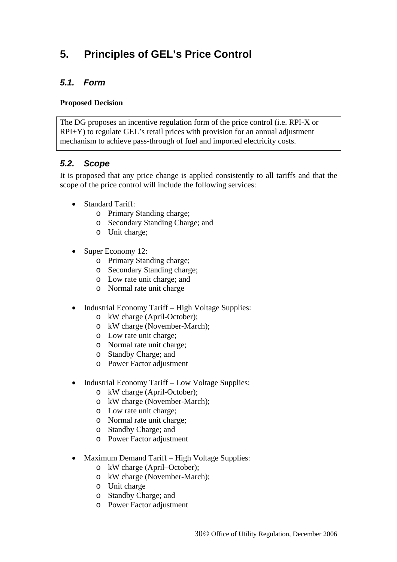## <span id="page-30-0"></span>**5. Principles of GEL's Price Control**

## *5.1. Form*

#### **Proposed Decision**

The DG proposes an incentive regulation form of the price control (i.e. RPI-X or RPI+Y) to regulate GEL's retail prices with provision for an annual adjustment mechanism to achieve pass-through of fuel and imported electricity costs.

## *5.2. Scope*

It is proposed that any price change is applied consistently to all tariffs and that the scope of the price control will include the following services:

- **Standard Tariff:** 
	- o Primary Standing charge;
	- o Secondary Standing Charge; and
	- o Unit charge;
- Super Economy 12:
	- o Primary Standing charge;
	- o Secondary Standing charge;
	- o Low rate unit charge; and
	- o Normal rate unit charge
- Industrial Economy Tariff High Voltage Supplies:
	- o kW charge (April-October);
	- o kW charge (November-March);
	- o Low rate unit charge;
	- o Normal rate unit charge;
	- o Standby Charge; and
	- o Power Factor adjustment
- Industrial Economy Tariff Low Voltage Supplies:
	- o kW charge (April-October);
	- o kW charge (November-March);
	- o Low rate unit charge;
	- o Normal rate unit charge;
	- o Standby Charge; and
	- o Power Factor adjustment
- Maximum Demand Tariff High Voltage Supplies:
	- o kW charge (April–October);
	- o kW charge (November-March);
	- o Unit charge
	- o Standby Charge; and
	- o Power Factor adjustment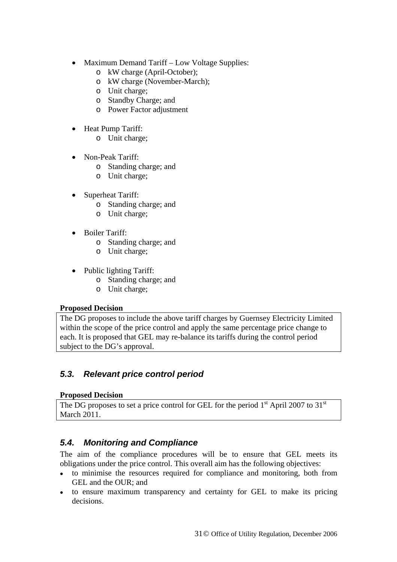- <span id="page-31-0"></span>• Maximum Demand Tariff – Low Voltage Supplies:
	- o kW charge (April-October);
	- o kW charge (November-March);
	- o Unit charge;
	- o Standby Charge; and
	- o Power Factor adjustment
- Heat Pump Tariff:
	- o Unit charge;
- Non-Peak Tariff:
	- o Standing charge; and
	- o Unit charge;
- Superheat Tariff:
	- o Standing charge; and
	- o Unit charge;
- Boiler Tariff:
	- o Standing charge; and
	- o Unit charge;
- Public lighting Tariff:
	- o Standing charge; and
	- o Unit charge;

#### **Proposed Decision**

The DG proposes to include the above tariff charges by Guernsey Electricity Limited within the scope of the price control and apply the same percentage price change to each. It is proposed that GEL may re-balance its tariffs during the control period subject to the DG's approval.

## *5.3. Relevant price control period*

#### **Proposed Decision**

The DG proposes to set a price control for GEL for the period  $1<sup>st</sup>$  April 2007 to 31<sup>st</sup> March 2011.

## *5.4. Monitoring and Compliance*

The aim of the compliance procedures will be to ensure that GEL meets its obligations under the price control. This overall aim has the following objectives:

- to minimise the resources required for compliance and monitoring, both from GEL and the OUR; and
- to ensure maximum transparency and certainty for GEL to make its pricing decisions.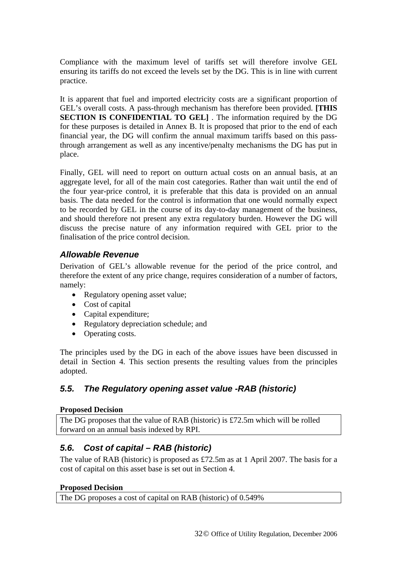<span id="page-32-0"></span>Compliance with the maximum level of tariffs set will therefore involve GEL ensuring its tariffs do not exceed the levels set by the DG. This is in line with current practice.

It is apparent that fuel and imported electricity costs are a significant proportion of GEL's overall costs. A pass-through mechanism has therefore been provided. **[THIS SECTION IS CONFIDENTIAL TO GEL]** . The information required by the DG for these purposes is detailed in Annex B. It is proposed that prior to the end of each financial year, the DG will confirm the annual maximum tariffs based on this passthrough arrangement as well as any incentive/penalty mechanisms the DG has put in place.

Finally, GEL will need to report on outturn actual costs on an annual basis, at an aggregate level, for all of the main cost categories. Rather than wait until the end of the four year-price control, it is preferable that this data is provided on an annual basis. The data needed for the control is information that one would normally expect to be recorded by GEL in the course of its day-to-day management of the business, and should therefore not present any extra regulatory burden. However the DG will discuss the precise nature of any information required with GEL prior to the finalisation of the price control decision.

### *Allowable Revenue*

Derivation of GEL's allowable revenue for the period of the price control, and therefore the extent of any price change, requires consideration of a number of factors, namely:

- Regulatory opening asset value;
- Cost of capital
- Capital expenditure;
- Regulatory depreciation schedule; and
- Operating costs.

The principles used by the DG in each of the above issues have been discussed in detail in Section 4. This section presents the resulting values from the principles adopted.

## *5.5. The Regulatory opening asset value -RAB (historic)*

#### **Proposed Decision**

The DG proposes that the value of RAB (historic) is £72.5m which will be rolled forward on an annual basis indexed by RPI.

## *5.6. Cost of capital – RAB (historic)*

The value of RAB (historic) is proposed as £72.5m as at 1 April 2007. The basis for a cost of capital on this asset base is set out in Section 4.

#### **Proposed Decision**

The DG proposes a cost of capital on RAB (historic) of 0.549%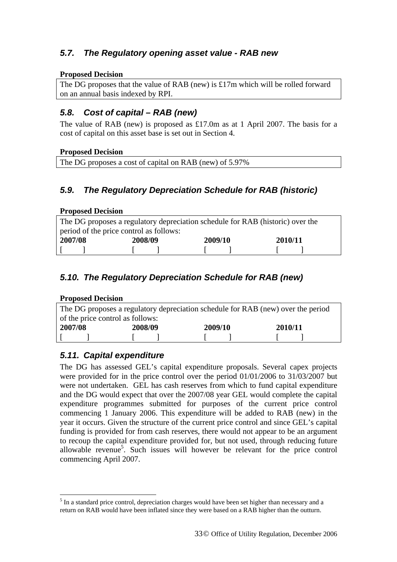## <span id="page-33-0"></span>*5.7. The Regulatory opening asset value - RAB new*

#### **Proposed Decision**

The DG proposes that the value of RAB (new) is £17m which will be rolled forward on an annual basis indexed by RPI.

## *5.8. Cost of capital – RAB (new)*

The value of RAB (new) is proposed as £17.0m as at 1 April 2007. The basis for a cost of capital on this asset base is set out in Section 4.

#### **Proposed Decision**

| The DG proposes a cost of capital on RAB (new) of 5.97% |  |
|---------------------------------------------------------|--|
|                                                         |  |

## *5.9. The Regulatory Depreciation Schedule for RAB (historic)*

#### **Proposed Decision**

| The DG proposes a regulatory depreciation schedule for RAB (historic) over the |         |         |         |  |  |  |
|--------------------------------------------------------------------------------|---------|---------|---------|--|--|--|
| period of the price control as follows:                                        |         |         |         |  |  |  |
| 2007/08                                                                        | 2008/09 | 2009/10 | 2010/11 |  |  |  |
|                                                                                |         |         |         |  |  |  |

## *5.10. The Regulatory Depreciation Schedule for RAB (new)*

| <b>Proposed Decision</b>                                                         |         |         |         |  |  |  |
|----------------------------------------------------------------------------------|---------|---------|---------|--|--|--|
| The DG proposes a regulatory depreciation schedule for RAB (new) over the period |         |         |         |  |  |  |
| of the price control as follows:                                                 |         |         |         |  |  |  |
| 2007/08                                                                          | 2008/09 | 2009/10 | 2010/11 |  |  |  |
|                                                                                  |         |         |         |  |  |  |

## *5.11. Capital expenditure*

The DG has assessed GEL's capital expenditure proposals. Several capex projects were provided for in the price control over the period 01/01/2006 to 31/03/2007 but were not undertaken. GEL has cash reserves from which to fund capital expenditure and the DG would expect that over the 2007/08 year GEL would complete the capital expenditure programmes submitted for purposes of the current price control commencing 1 January 2006. This expenditure will be added to RAB (new) in the year it occurs. Given the structure of the current price control and since GEL's capital funding is provided for from cash reserves, there would not appear to be an argument to recoup the capital expenditure provided for, but not used, through reducing future allowable revenue<sup>[5](#page-33-1)</sup>. Such issues will however be relevant for the price control commencing April 2007.

<span id="page-33-1"></span> $\overline{a}$  $<sup>5</sup>$  In a standard price control, depreciation charges would have been set higher than necessary and a</sup> return on RAB would have been inflated since they were based on a RAB higher than the outturn.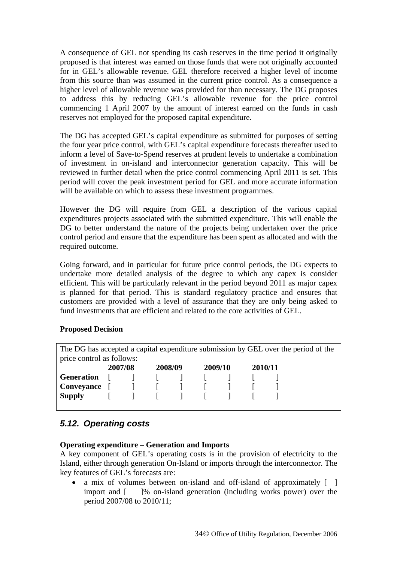<span id="page-34-0"></span>A consequence of GEL not spending its cash reserves in the time period it originally proposed is that interest was earned on those funds that were not originally accounted for in GEL's allowable revenue. GEL therefore received a higher level of income from this source than was assumed in the current price control. As a consequence a higher level of allowable revenue was provided for than necessary. The DG proposes to address this by reducing GEL's allowable revenue for the price control commencing 1 April 2007 by the amount of interest earned on the funds in cash reserves not employed for the proposed capital expenditure.

The DG has accepted GEL's capital expenditure as submitted for purposes of setting the four year price control, with GEL's capital expenditure forecasts thereafter used to inform a level of Save-to-Spend reserves at prudent levels to undertake a combination of investment in on-island and interconnector generation capacity. This will be reviewed in further detail when the price control commencing April 2011 is set. This period will cover the peak investment period for GEL and more accurate information will be available on which to assess these investment programmes.

However the DG will require from GEL a description of the various capital expenditures projects associated with the submitted expenditure. This will enable the DG to better understand the nature of the projects being undertaken over the price control period and ensure that the expenditure has been spent as allocated and with the required outcome.

Going forward, and in particular for future price control periods, the DG expects to undertake more detailed analysis of the degree to which any capex is consider efficient. This will be particularly relevant in the period beyond 2011 as major capex is planned for that period. This is standard regulatory practice and ensures that customers are provided with a level of assurance that they are only being asked to fund investments that are efficient and related to the core activities of GEL.

#### **Proposed Decision**

The DG has accepted a capital expenditure submission by GEL over the period of the price control as follows: **2007/08 2008/09 2009/10 2010/11 Generation**  $\begin{bmatrix} 1 & 1 \\ 1 & 1 \end{bmatrix}$   $\begin{bmatrix} 1 & 1 \\ 1 & 1 \end{bmatrix}$ **Conveyance**  $\begin{bmatrix} 1 & 1 \\ 1 & 1 \end{bmatrix}$   $\begin{bmatrix} 1 & 1 \\ 1 & 1 \end{bmatrix}$ **Supply** [ ] [ ] [ ] [ ]

### *5.12. Operating costs*

#### **Operating expenditure – Generation and Imports**

A key component of GEL's operating costs is in the provision of electricity to the Island, either through generation On-Island or imports through the interconnector. The key features of GEL's forecasts are:

a mix of volumes between on-island and off-island of approximately [ ] import and [ ]% on-island generation (including works power) over the period 2007/08 to 2010/11;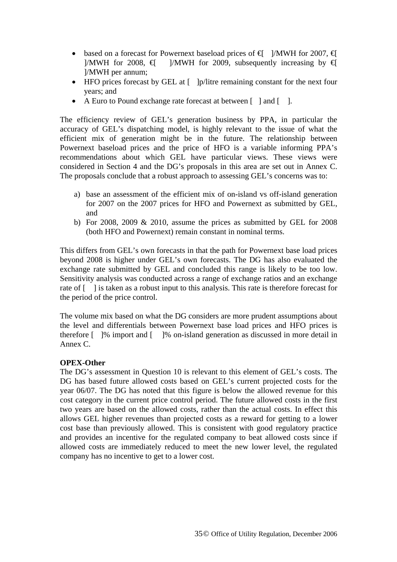- based on a forecast for Powernext baseload prices of  $\bigoplus$  ]/MWH for 2007,  $\bigoplus$ ]/MWH for 2008,  $\bigoplus$  ]/MWH for 2009, subsequently increasing by  $\bigoplus$ ]/MWH per annum;
- HFO prices forecast by GEL at [ ]p/litre remaining constant for the next four years; and
- A Euro to Pound exchange rate forecast at between  $\lceil \cdot \rceil$  and  $\lceil \cdot \rceil$ .

The efficiency review of GEL's generation business by PPA, in particular the accuracy of GEL's dispatching model, is highly relevant to the issue of what the efficient mix of generation might be in the future. The relationship between Powernext baseload prices and the price of HFO is a variable informing PPA's recommendations about which GEL have particular views. These views were considered in Section 4 and the DG's proposals in this area are set out in Annex C. The proposals conclude that a robust approach to assessing GEL's concerns was to:

- a) base an assessment of the efficient mix of on-island vs off-island generation for 2007 on the 2007 prices for HFO and Powernext as submitted by GEL, and
- b) For 2008, 2009 & 2010, assume the prices as submitted by GEL for 2008 (both HFO and Powernext) remain constant in nominal terms.

This differs from GEL's own forecasts in that the path for Powernext base load prices beyond 2008 is higher under GEL's own forecasts. The DG has also evaluated the exchange rate submitted by GEL and concluded this range is likely to be too low. Sensitivity analysis was conducted across a range of exchange ratios and an exchange rate of [ ] is taken as a robust input to this analysis. This rate is therefore forecast for the period of the price control.

The volume mix based on what the DG considers are more prudent assumptions about the level and differentials between Powernext base load prices and HFO prices is therefore [ ]% import and [ ]% on-island generation as discussed in more detail in Annex C.

#### **OPEX-Other**

The DG's assessment in Question 10 is relevant to this element of GEL's costs. The DG has based future allowed costs based on GEL's current projected costs for the year 06/07. The DG has noted that this figure is below the allowed revenue for this cost category in the current price control period. The future allowed costs in the first two years are based on the allowed costs, rather than the actual costs. In effect this allows GEL higher revenues than projected costs as a reward for getting to a lower cost base than previously allowed. This is consistent with good regulatory practice and provides an incentive for the regulated company to beat allowed costs since if allowed costs are immediately reduced to meet the new lower level, the regulated company has no incentive to get to a lower cost.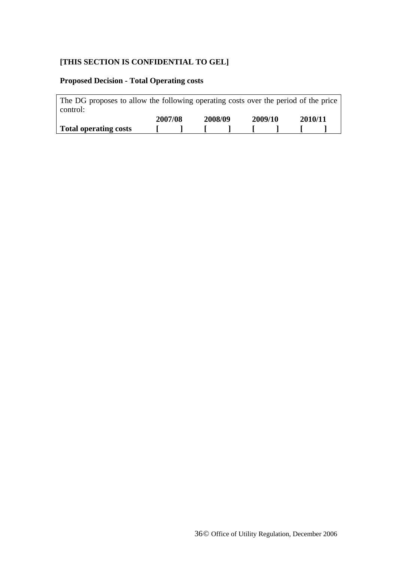### **[THIS SECTION IS CONFIDENTIAL TO GEL]**

## **Proposed Decision - Total Operating costs**

| The DG proposes to allow the following operating costs over the period of the price<br>control: |         |                                                |         |         |  |
|-------------------------------------------------------------------------------------------------|---------|------------------------------------------------|---------|---------|--|
|                                                                                                 | 2007/08 | 2008/09                                        | 2009/10 | 2010/11 |  |
| Total operating costs                                                                           |         | $\mathbf{1}$ and $\mathbf{1}$ and $\mathbf{1}$ |         |         |  |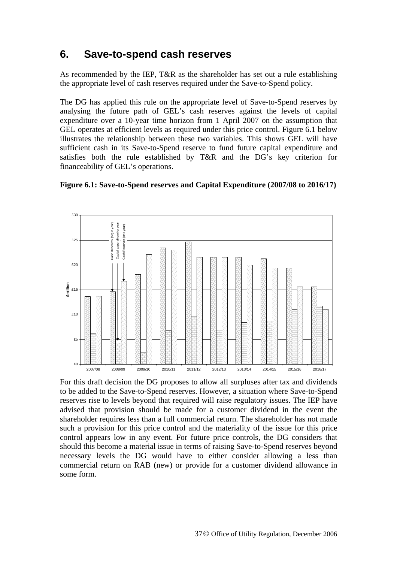## <span id="page-37-0"></span>**6. Save-to-spend cash reserves**

As recommended by the IEP, T&R as the shareholder has set out a rule establishing the appropriate level of cash reserves required under the Save-to-Spend policy.

The DG has applied this rule on the appropriate level of Save-to-Spend reserves by analysing the future path of GEL's cash reserves against the levels of capital expenditure over a 10-year time horizon from 1 April 2007 on the assumption that GEL operates at efficient levels as required under this price control. Figure 6.1 below illustrates the relationship between these two variables. This shows GEL will have sufficient cash in its Save-to-Spend reserve to fund future capital expenditure and satisfies both the rule established by T&R and the DG's key criterion for financeability of GEL's operations.





For this draft decision the DG proposes to allow all surpluses after tax and dividends to be added to the Save-to-Spend reserves. However, a situation where Save-to-Spend reserves rise to levels beyond that required will raise regulatory issues. The IEP have advised that provision should be made for a customer dividend in the event the shareholder requires less than a full commercial return. The shareholder has not made such a provision for this price control and the materiality of the issue for this price control appears low in any event. For future price controls, the DG considers that should this become a material issue in terms of raising Save-to-Spend reserves beyond necessary levels the DG would have to either consider allowing a less than commercial return on RAB (new) or provide for a customer dividend allowance in some form.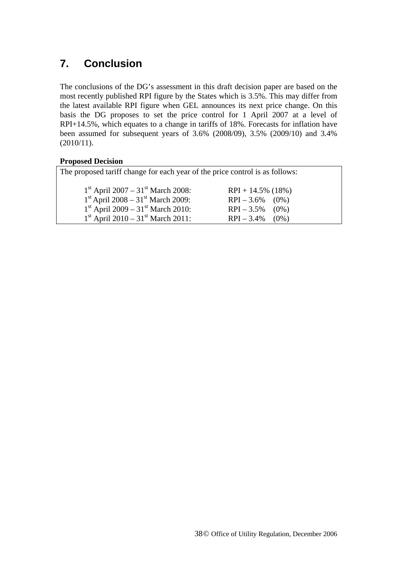## <span id="page-38-0"></span>**7. Conclusion**

The conclusions of the DG's assessment in this draft decision paper are based on the most recently published RPI figure by the States which is 3.5%. This may differ from the latest available RPI figure when GEL announces its next price change. On this basis the DG proposes to set the price control for 1 April 2007 at a level of RPI+14.5%, which equates to a change in tariffs of 18%. Forecasts for inflation have been assumed for subsequent years of 3.6% (2008/09), 3.5% (2009/10) and 3.4% (2010/11).

#### **Proposed Decision**

| The proposed tariff change for each year of the price control is as follows: |                      |  |  |  |  |
|------------------------------------------------------------------------------|----------------------|--|--|--|--|
| $1st$ April 2007 – 31 <sup>st</sup> March 2008:                              | $RPI + 14.5\%$ (18%) |  |  |  |  |
| $1st$ April 2008 – 31 <sup>st</sup> March 2009:                              | $RPI - 3.6\%$ (0%)   |  |  |  |  |
| $1st$ April 2009 – 31 <sup>st</sup> March 2010:                              | $RPI - 3.5\%$ (0%)   |  |  |  |  |
| $1st$ April 2010 – 31 <sup>st</sup> March 2011:                              | $RPI - 3.4\%$ (0%)   |  |  |  |  |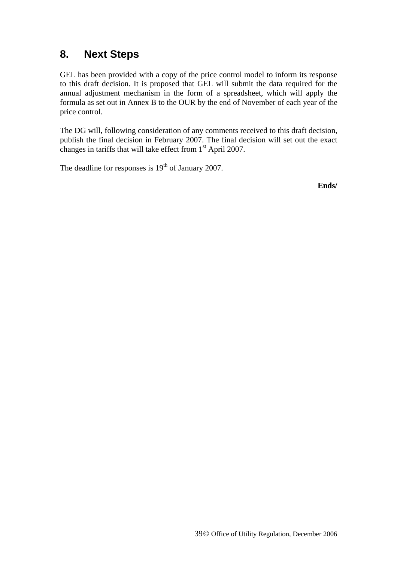## <span id="page-39-0"></span>**8. Next Steps**

GEL has been provided with a copy of the price control model to inform its response to this draft decision. It is proposed that GEL will submit the data required for the annual adjustment mechanism in the form of a spreadsheet, which will apply the formula as set out in Annex B to the OUR by the end of November of each year of the price control.

The DG will, following consideration of any comments received to this draft decision, publish the final decision in February 2007. The final decision will set out the exact changes in tariffs that will take effect from 1st April 2007.

The deadline for responses is  $19<sup>th</sup>$  of January 2007.

**Ends/**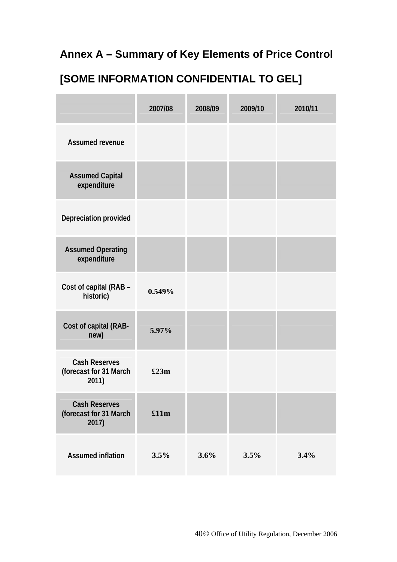## <span id="page-40-0"></span>**Annex A – Summary of Key Elements of Price Control**

# **[SOME INFORMATION CONFIDENTIAL TO GEL]**

|                                                         | 2007/08 | 2008/09 | 2009/10 | 2010/11 |
|---------------------------------------------------------|---------|---------|---------|---------|
| <b>Assumed revenue</b>                                  |         |         |         |         |
| <b>Assumed Capital</b><br>expenditure                   |         |         |         |         |
| Depreciation provided                                   |         |         |         |         |
| <b>Assumed Operating</b><br>expenditure                 |         |         |         |         |
| Cost of capital (RAB -<br>historic)                     | 0.549%  |         |         |         |
| Cost of capital (RAB-<br>new)                           | 5.97%   |         |         |         |
| <b>Cash Reserves</b><br>(forecast for 31 March<br>2011) | £23m    |         |         |         |
| <b>Cash Reserves</b><br>(forecast for 31 March<br>2017) | £11m    |         |         |         |
| <b>Assumed inflation</b>                                | 3.5%    | 3.6%    | 3.5%    | 3.4%    |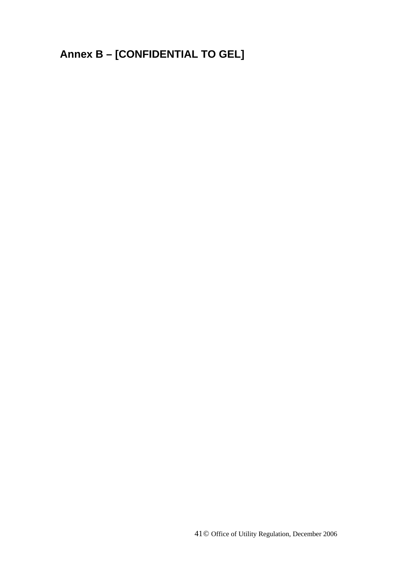# <span id="page-41-0"></span>**Annex B – [CONFIDENTIAL TO GEL]**